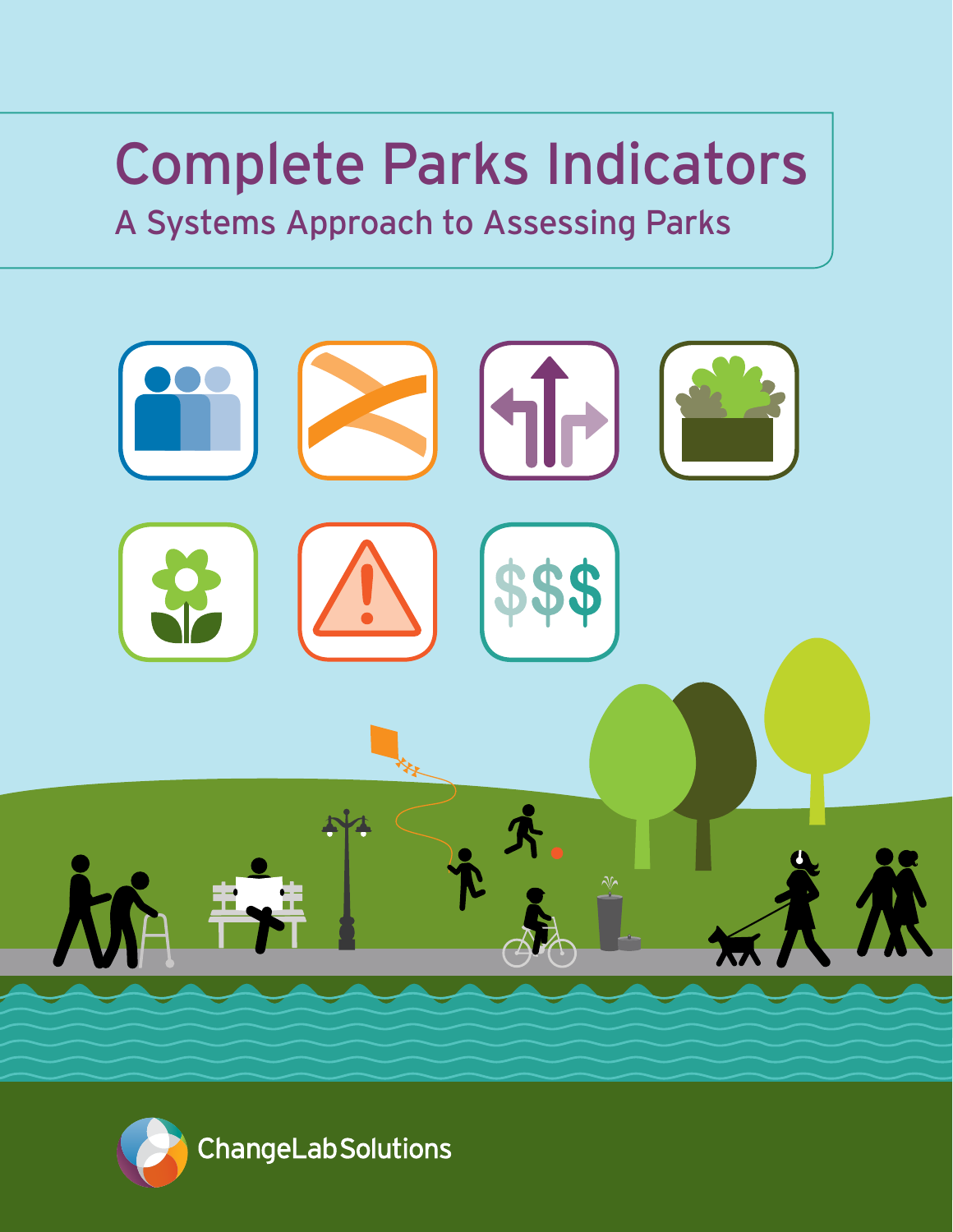# Complete Parks Indicators

## A Systems Approach to Assessing Parks



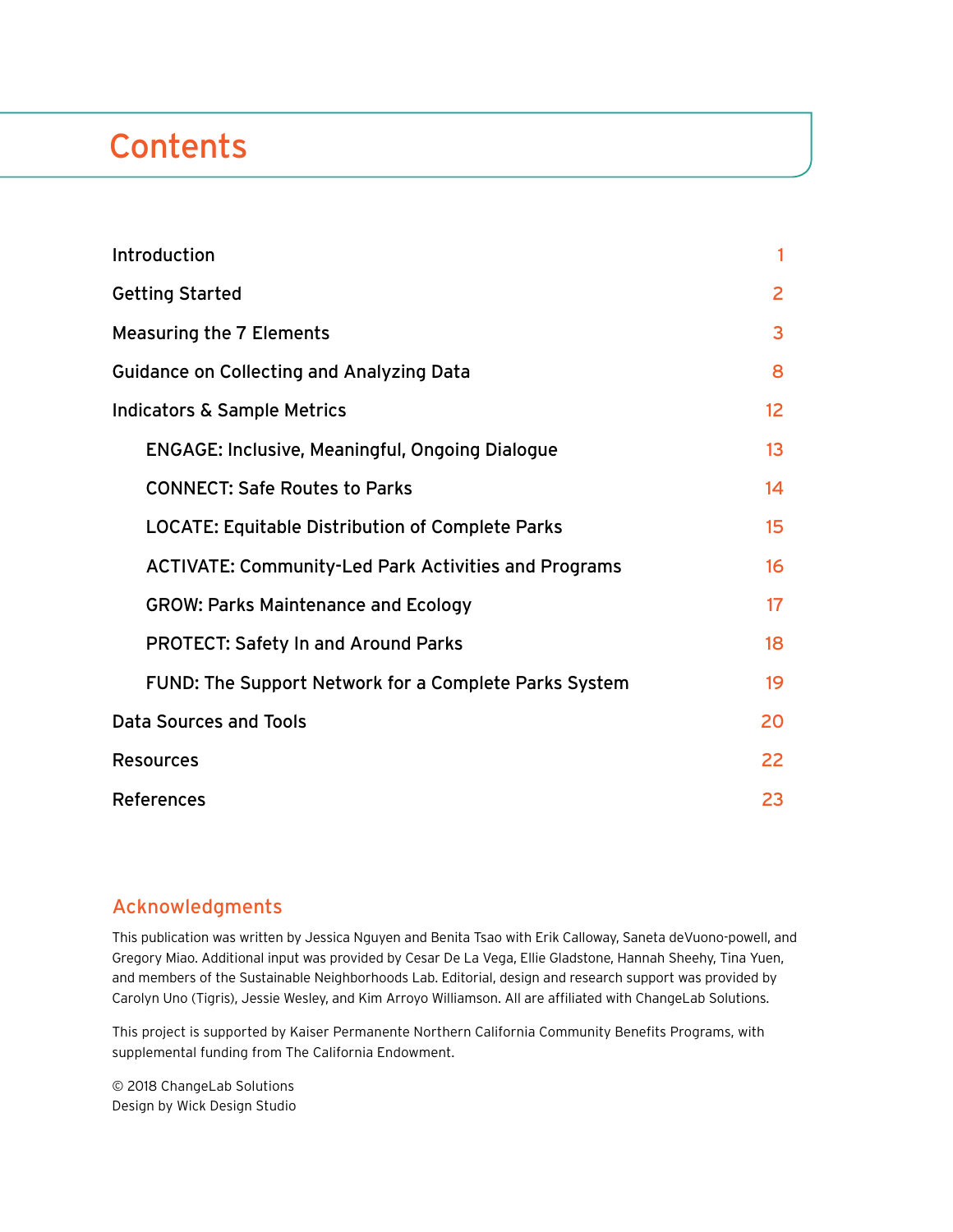## **Contents**

| Introduction                                                | 1               |
|-------------------------------------------------------------|-----------------|
| <b>Getting Started</b>                                      | $\overline{2}$  |
| <b>Measuring the 7 Elements</b>                             | 3               |
| <b>Guidance on Collecting and Analyzing Data</b>            | 8               |
| <b>Indicators &amp; Sample Metrics</b>                      | 12 <sub>2</sub> |
| <b>ENGAGE: Inclusive, Meaningful, Ongoing Dialogue</b>      | 13              |
| <b>CONNECT: Safe Routes to Parks</b>                        | 14              |
| <b>LOCATE: Equitable Distribution of Complete Parks</b>     | 15              |
| <b>ACTIVATE: Community-Led Park Activities and Programs</b> | 16              |
| <b>GROW: Parks Maintenance and Ecology</b>                  | 17 <sup>2</sup> |
| <b>PROTECT: Safety In and Around Parks</b>                  | 18              |
| FUND: The Support Network for a Complete Parks System       | 19              |
| Data Sources and Tools                                      | 20              |
| <b>Resources</b>                                            | 22              |
| <b>References</b>                                           | 23              |

#### Acknowledgments

This publication was written by Jessica Nguyen and Benita Tsao with Erik Calloway, Saneta deVuono-powell, and Gregory Miao. Additional input was provided by Cesar De La Vega, Ellie Gladstone, Hannah Sheehy, Tina Yuen, and members of the Sustainable Neighborhoods Lab. Editorial, design and research support was provided by Carolyn Uno (Tigris), Jessie Wesley, and Kim Arroyo Williamson. All are affiliated with ChangeLab Solutions.

This project is supported by Kaiser Permanente Northern California Community Benefits Programs, with supplemental funding from The California Endowment.

© 2018 ChangeLab Solutions Design by Wick Design Studio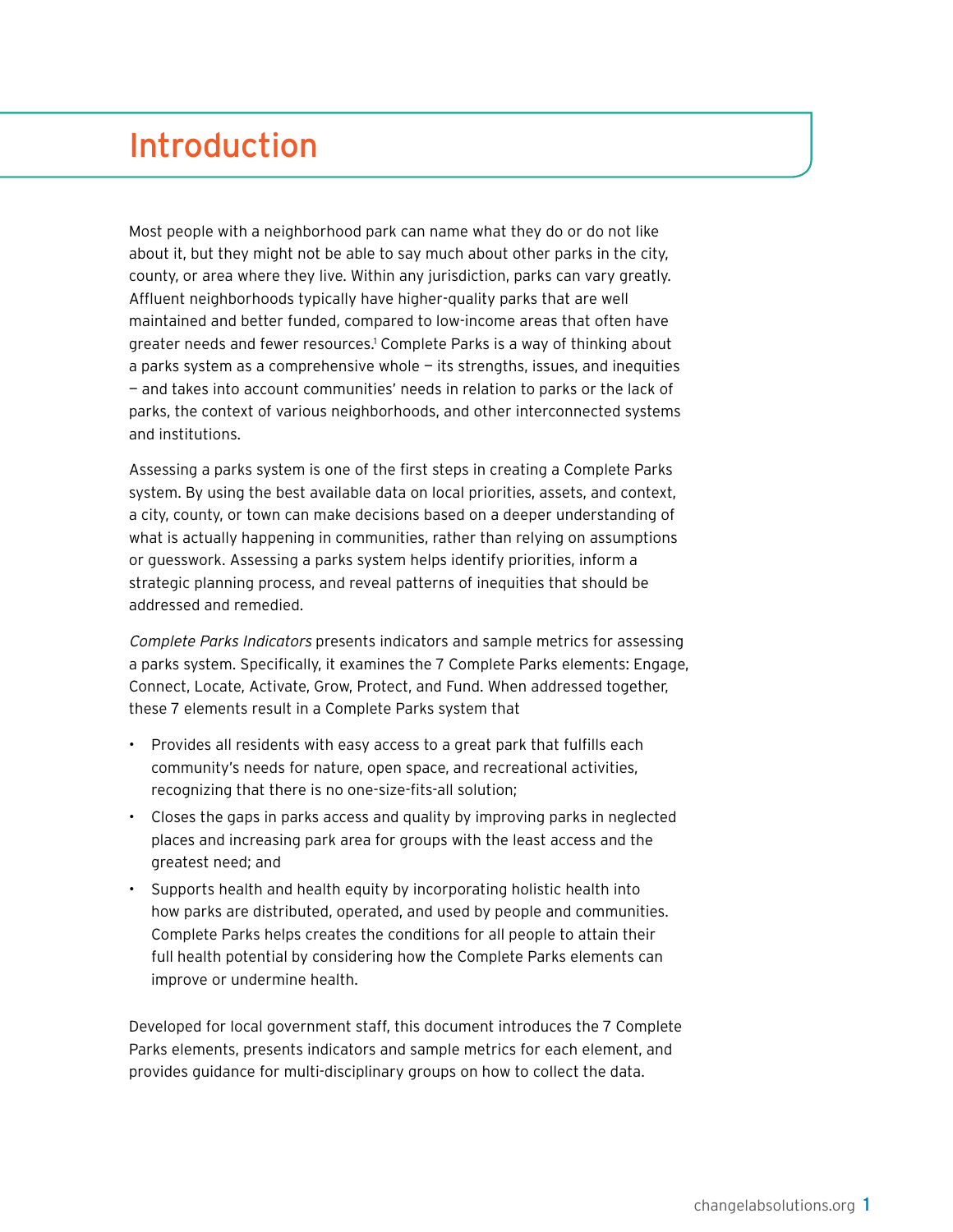## <span id="page-2-0"></span>Introduction

Most people with a neighborhood park can name what they do or do not like about it, but they might not be able to say much about other parks in the city, county, or area where they live. Within any jurisdiction, parks can vary greatly. Affluent neighborhoods typically have higher-quality parks that are well maintained and better funded, compared to low-income areas that often have greater needs and fewer resources.<sup>1</sup> Complete Parks is a way of thinking about a parks system as a comprehensive whole — its strengths, issues, and inequities — and takes into account communities' needs in relation to parks or the lack of parks, the context of various neighborhoods, and other interconnected systems and institutions.

Assessing a parks system is one of the first steps in creating a Complete Parks system. By using the best available data on local priorities, assets, and context, a city, county, or town can make decisions based on a deeper understanding of what is actually happening in communities, rather than relying on assumptions or guesswork. Assessing a parks system helps identify priorities, inform a strategic planning process, and reveal patterns of inequities that should be addressed and remedied.

Complete Parks Indicators presents indicators and sample metrics for assessing a parks system. Specifically, it examines the 7 Complete Parks elements: Engage, Connect, Locate, Activate, Grow, Protect, and Fund. When addressed together, these 7 elements result in a Complete Parks system that

- Provides all residents with easy access to a great park that fulfills each community's needs for nature, open space, and recreational activities, recognizing that there is no one-size-fits-all solution;
- Closes the gaps in parks access and quality by improving parks in neglected places and increasing park area for groups with the least access and the greatest need; and
- Supports health and health equity by incorporating holistic health into how parks are distributed, operated, and used by people and communities. Complete Parks helps creates the conditions for all people to attain their full health potential by considering how the Complete Parks elements can improve or undermine health.

Developed for local government staff, this document introduces the 7 Complete Parks elements, presents indicators and sample metrics for each element, and provides guidance for multi-disciplinary groups on how to collect the data.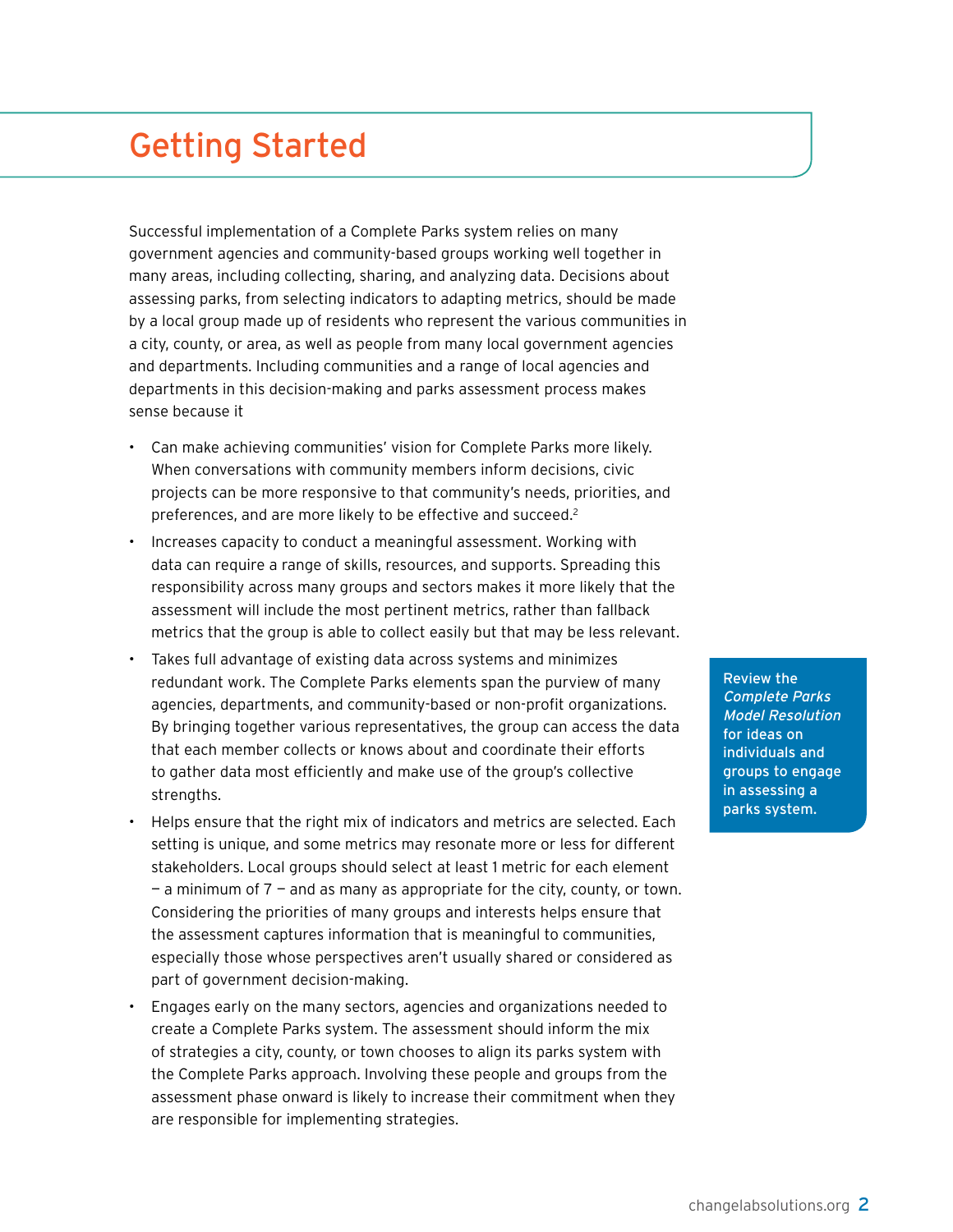## <span id="page-3-0"></span>Getting Started

Successful implementation of a Complete Parks system relies on many government agencies and community-based groups working well together in many areas, including collecting, sharing, and analyzing data. Decisions about assessing parks, from selecting indicators to adapting metrics, should be made by a local group made up of residents who represent the various communities in a city, county, or area, as well as people from many local government agencies and departments. Including communities and a range of local agencies and departments in this decision-making and parks assessment process makes sense because it

- Can make achieving communities' vision for Complete Parks more likely. When conversations with community members inform decisions, civic projects can be more responsive to that community's needs, priorities, and preferences, and are more likely to be effective and succeed.2
- Increases capacity to conduct a meaningful assessment. Working with data can require a range of skills, resources, and supports. Spreading this responsibility across many groups and sectors makes it more likely that the assessment will include the most pertinent metrics, rather than fallback metrics that the group is able to collect easily but that may be less relevant.
- Takes full advantage of existing data across systems and minimizes redundant work. The Complete Parks elements span the purview of many agencies, departments, and community-based or non-profit organizations. By bringing together various representatives, the group can access the data that each member collects or knows about and coordinate their efforts to gather data most efficiently and make use of the group's collective strengths.
- Helps ensure that the right mix of indicators and metrics are selected. Each setting is unique, and some metrics may resonate more or less for different stakeholders. Local groups should select at least 1 metric for each element  $-$  a minimum of  $7$  – and as many as appropriate for the city, county, or town. Considering the priorities of many groups and interests helps ensure that the assessment captures information that is meaningful to communities, especially those whose perspectives aren't usually shared or considered as part of government decision-making.
- Engages early on the many sectors, agencies and organizations needed to create a Complete Parks system. The assessment should inform the mix of strategies a city, county, or town chooses to align its parks system with the Complete Parks approach. Involving these people and groups from the assessment phase onward is likely to increase their commitment when they are responsible for implementing strategies.

Review the Complete Parks Model Resolution for ideas on individuals and groups to engage in assessing a parks system.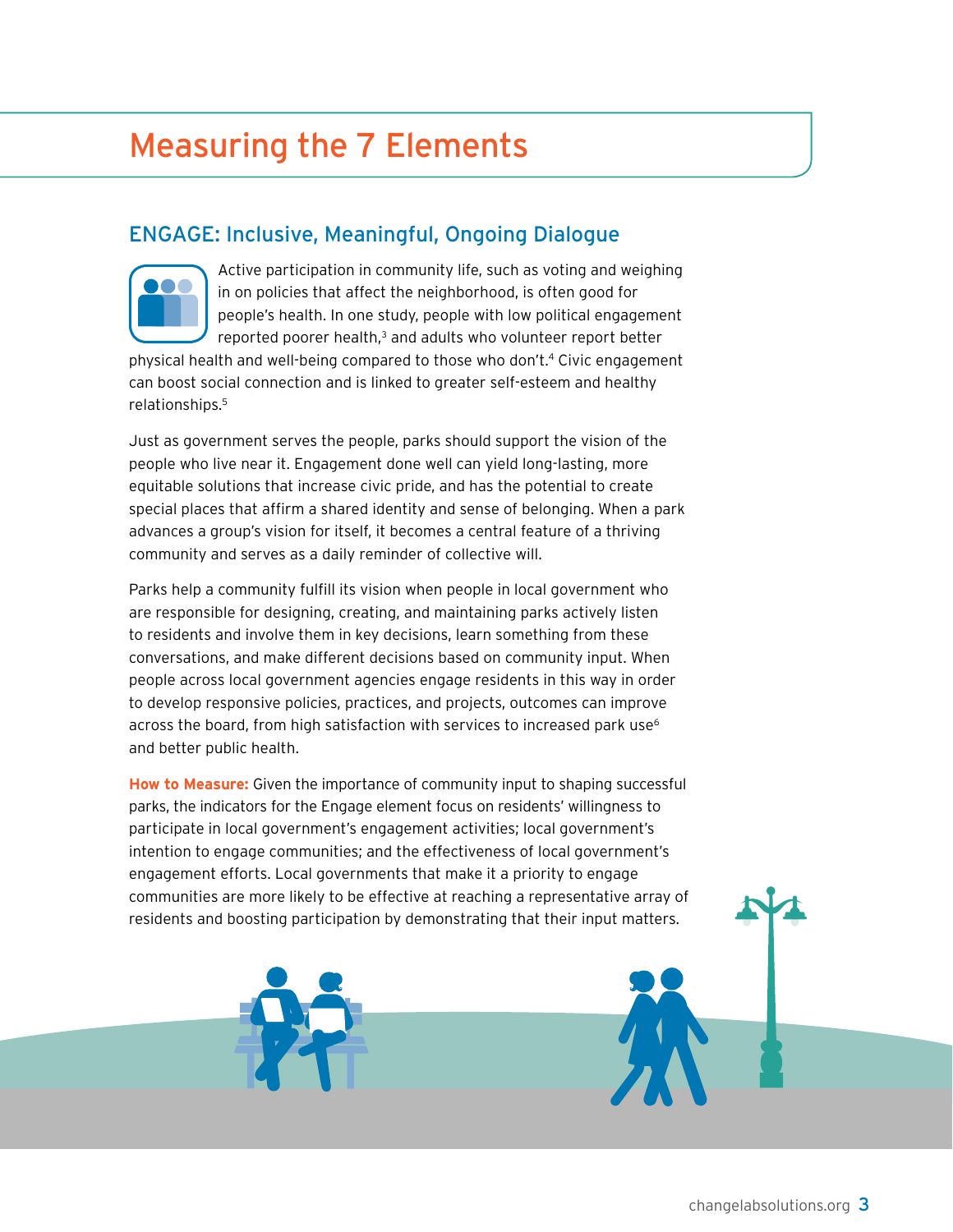## <span id="page-4-0"></span>Measuring the 7 Elements

#### Engage: Inclusive, Meaningful, Ongoing Dialogue



Active participation in community life, such as voting and weighing in on policies that affect the neighborhood, is often good for people's health. In one study, people with low political engagement reported poorer health,<sup>3</sup> and adults who volunteer report better

physical health and well-being compared to those who don't.<sup>4</sup> Civic engagement can boost social connection and is linked to greater self-esteem and healthy relationships.5

Just as government serves the people, parks should support the vision of the people who live near it. Engagement done well can yield long-lasting, more equitable solutions that increase civic pride, and has the potential to create special places that affirm a shared identity and sense of belonging. When a park advances a group's vision for itself, it becomes a central feature of a thriving community and serves as a daily reminder of collective will.

Parks help a community fulfill its vision when people in local government who are responsible for designing, creating, and maintaining parks actively listen to residents and involve them in key decisions, learn something from these conversations, and make different decisions based on community input. When people across local government agencies engage residents in this way in order to develop responsive policies, practices, and projects, outcomes can improve across the board, from high satisfaction with services to increased park use<sup>6</sup> and better public health.

**How to Measure:** Given the importance of community input to shaping successful parks, the indicators for the Engage element focus on residents' willingness to participate in local government's engagement activities; local government's intention to engage communities; and the effectiveness of local government's engagement efforts. Local governments that make it a priority to engage communities are more likely to be effective at reaching a representative array of residents and boosting participation by demonstrating that their input matters.

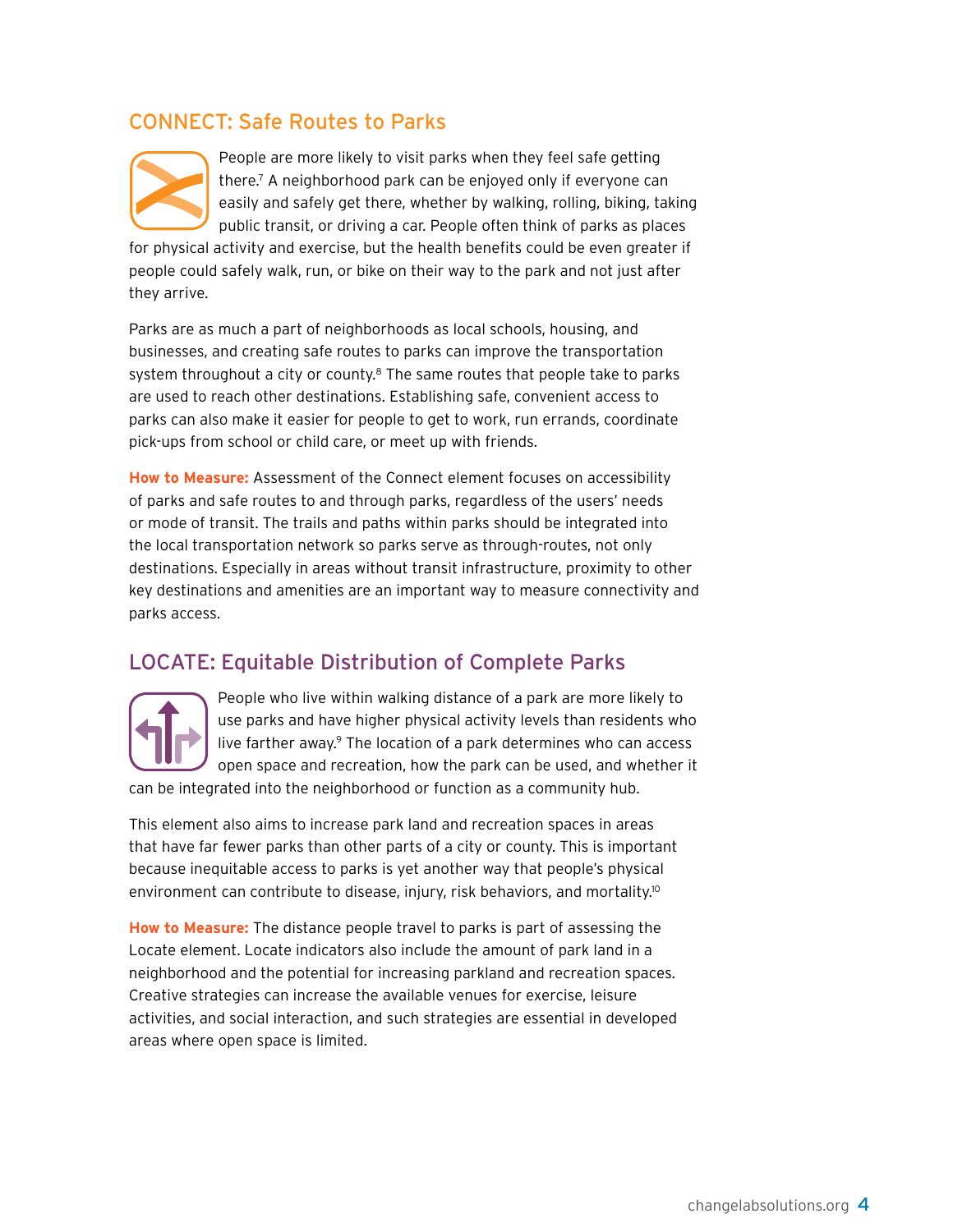#### Connect: Safe Routes to Parks



People are more likely to visit parks when they feel safe getting there.7 A neighborhood park can be enjoyed only if everyone can easily and safely get there, whether by walking, rolling, biking, taking public transit, or driving a car. People often think of parks as places

for physical activity and exercise, but the health benefits could be even greater if people could safely walk, run, or bike on their way to the park and not just after they arrive.

Parks are as much a part of neighborhoods as local schools, housing, and businesses, and creating safe routes to parks can improve the transportation system throughout a city or county.<sup>8</sup> The same routes that people take to parks are used to reach other destinations. Establishing safe, convenient access to parks can also make it easier for people to get to work, run errands, coordinate pick-ups from school or child care, or meet up with friends.

**How to Measure:** Assessment of the Connect element focuses on accessibility of parks and safe routes to and through parks, regardless of the users' needs or mode of transit. The trails and paths within parks should be integrated into the local transportation network so parks serve as through-routes, not only destinations. Especially in areas without transit infrastructure, proximity to other key destinations and amenities are an important way to measure connectivity and parks access.

#### **LOCATE: Equitable Distribution of Complete Parks**



People who live within walking distance of a park are more likely to use parks and have higher physical activity levels than residents who live farther away.<sup>9</sup> The location of a park determines who can access open space and recreation, how the park can be used, and whether it

can be integrated into the neighborhood or function as a community hub.

This element also aims to increase park land and recreation spaces in areas that have far fewer parks than other parts of a city or county. This is important because inequitable access to parks is yet another way that people's physical environment can contribute to disease, injury, risk behaviors, and mortality.<sup>10</sup>

**How to Measure:** The distance people travel to parks is part of assessing the Locate element. Locate indicators also include the amount of park land in a neighborhood and the potential for increasing parkland and recreation spaces. Creative strategies can increase the available venues for exercise, leisure activities, and social interaction, and such strategies are essential in developed areas where open space is limited.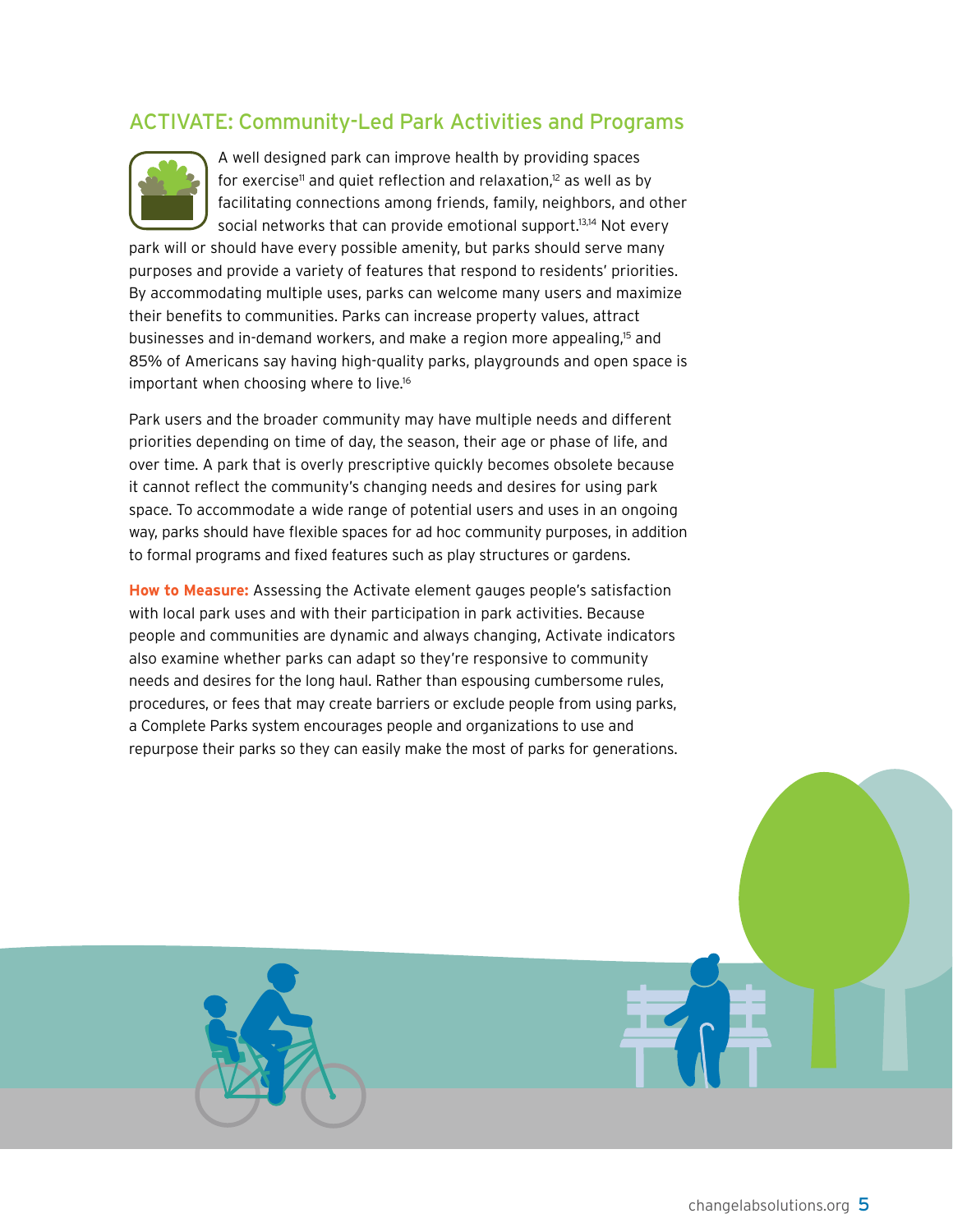#### ACTIVATE: Community-Led Park Activities and Programs



A well designed park can improve health by providing spaces for exercise<sup>11</sup> and quiet reflection and relaxation, $12$  as well as by facilitating connections among friends, family, neighbors, and other social networks that can provide emotional support.<sup>13,14</sup> Not every

park will or should have every possible amenity, but parks should serve many purposes and provide a variety of features that respond to residents' priorities. By accommodating multiple uses, parks can welcome many users and maximize their benefits to communities. Parks can increase property values, attract businesses and in-demand workers, and make a region more appealing,15 and 85% of Americans say having high-quality parks, playgrounds and open space is important when choosing where to live.16

Park users and the broader community may have multiple needs and different priorities depending on time of day, the season, their age or phase of life, and over time. A park that is overly prescriptive quickly becomes obsolete because it cannot reflect the community's changing needs and desires for using park space. To accommodate a wide range of potential users and uses in an ongoing way, parks should have flexible spaces for ad hoc community purposes, in addition to formal programs and fixed features such as play structures or gardens.

**How to Measure:** Assessing the Activate element gauges people's satisfaction with local park uses and with their participation in park activities. Because people and communities are dynamic and always changing, Activate indicators also examine whether parks can adapt so they're responsive to community needs and desires for the long haul. Rather than espousing cumbersome rules, procedures, or fees that may create barriers or exclude people from using parks, a Complete Parks system encourages people and organizations to use and repurpose their parks so they can easily make the most of parks for generations.

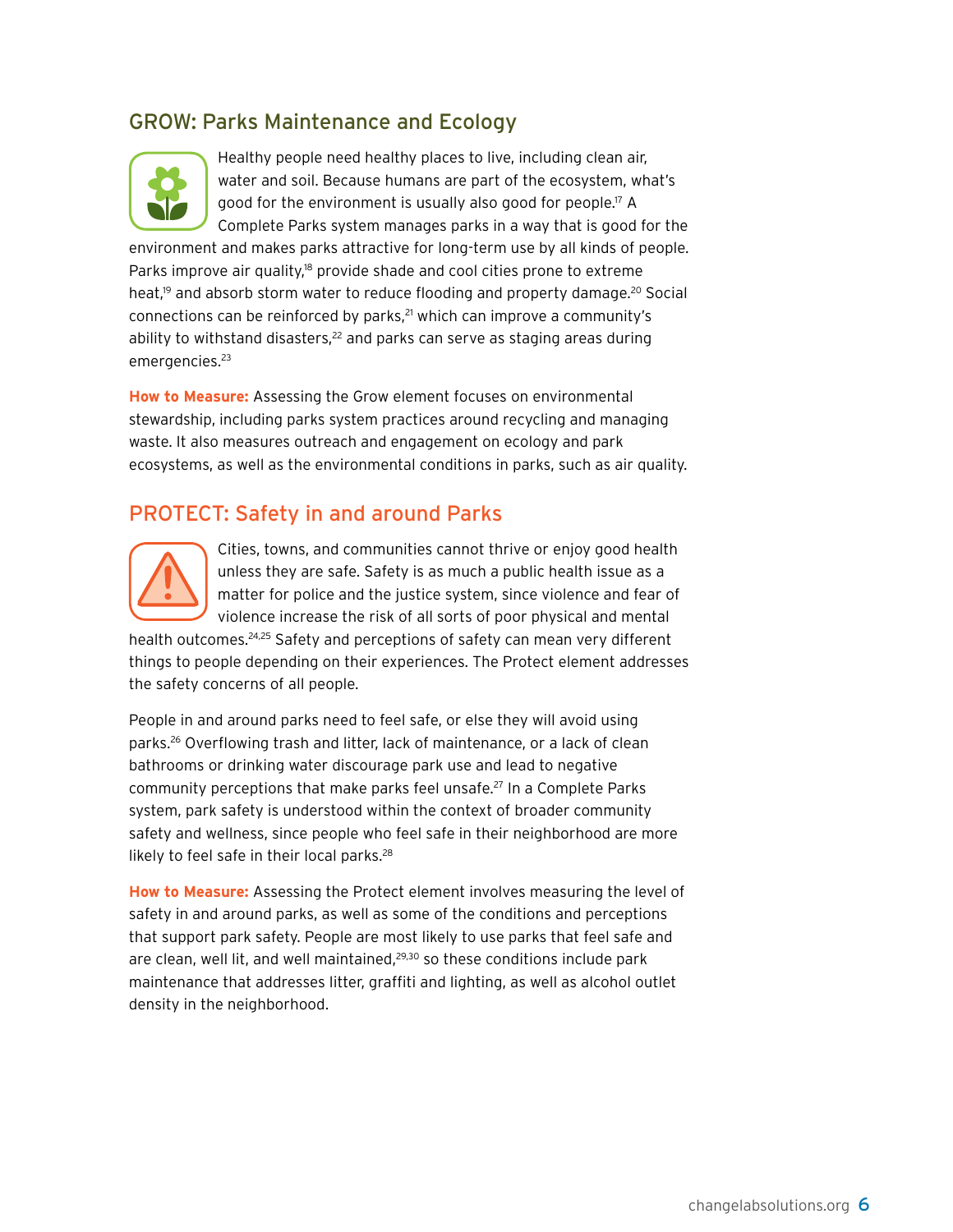#### GROW: Parks Maintenance and Ecology



Healthy people need healthy places to live, including clean air, water and soil. Because humans are part of the ecosystem, what's good for the environment is usually also good for people.<sup>17</sup> A Complete Parks system manages parks in a way that is good for the

environment and makes parks attractive for long-term use by all kinds of people. Parks improve air quality, $18$  provide shade and cool cities prone to extreme heat,<sup>19</sup> and absorb storm water to reduce flooding and property damage.<sup>20</sup> Social connections can be reinforced by parks,<sup>21</sup> which can improve a community's ability to withstand disasters, $22$  and parks can serve as staging areas during emergencies.<sup>23</sup>

**How to Measure:** Assessing the Grow element focuses on environmental stewardship, including parks system practices around recycling and managing waste. It also measures outreach and engagement on ecology and park ecosystems, as well as the environmental conditions in parks, such as air quality.

#### PROTECT: Safety in and around Parks



Cities, towns, and communities cannot thrive or enjoy good health unless they are safe. Safety is as much a public health issue as a matter for police and the justice system, since violence and fear of violence increase the risk of all sorts of poor physical and mental

health outcomes.<sup>24,25</sup> Safety and perceptions of safety can mean very different things to people depending on their experiences. The Protect element addresses the safety concerns of all people.

People in and around parks need to feel safe, or else they will avoid using parks.26 Overflowing trash and litter, lack of maintenance, or a lack of clean bathrooms or drinking water discourage park use and lead to negative community perceptions that make parks feel unsafe.<sup>27</sup> In a Complete Parks system, park safety is understood within the context of broader community safety and wellness, since people who feel safe in their neighborhood are more likely to feel safe in their local parks.<sup>28</sup>

**How to Measure:** Assessing the Protect element involves measuring the level of safety in and around parks, as well as some of the conditions and perceptions that support park safety. People are most likely to use parks that feel safe and are clean, well lit, and well maintained,<sup>29,30</sup> so these conditions include park maintenance that addresses litter, graffiti and lighting, as well as alcohol outlet density in the neighborhood.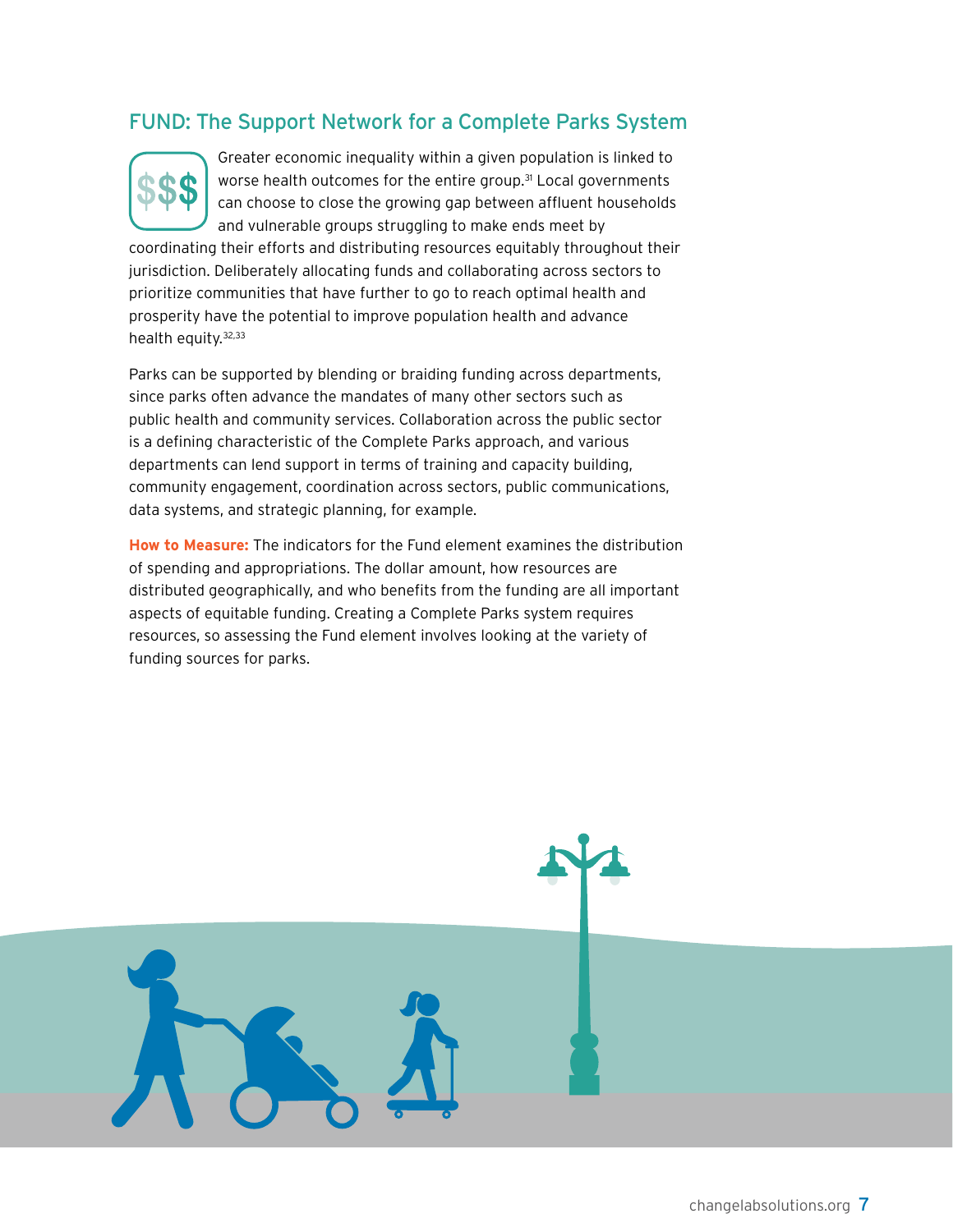#### Fund: The Support Network for a Complete Parks System



Greater economic inequality within a given population is linked to worse health outcomes for the entire group.<sup>31</sup> Local governments can choose to close the growing gap between affluent households and vulnerable groups struggling to make ends meet by

coordinating their efforts and distributing resources equitably throughout their jurisdiction. Deliberately allocating funds and collaborating across sectors to prioritize communities that have further to go to reach optimal health and prosperity have the potential to improve population health and advance health equity.32,33

Parks can be supported by blending or braiding funding across departments, since parks often advance the mandates of many other sectors such as public health and community services. Collaboration across the public sector is a defining characteristic of the Complete Parks approach, and various departments can lend support in terms of training and capacity building, community engagement, coordination across sectors, public communications, data systems, and strategic planning, for example.

**How to Measure:** The indicators for the Fund element examines the distribution of spending and appropriations. The dollar amount, how resources are distributed geographically, and who benefits from the funding are all important aspects of equitable funding. Creating a Complete Parks system requires resources, so assessing the Fund element involves looking at the variety of funding sources for parks.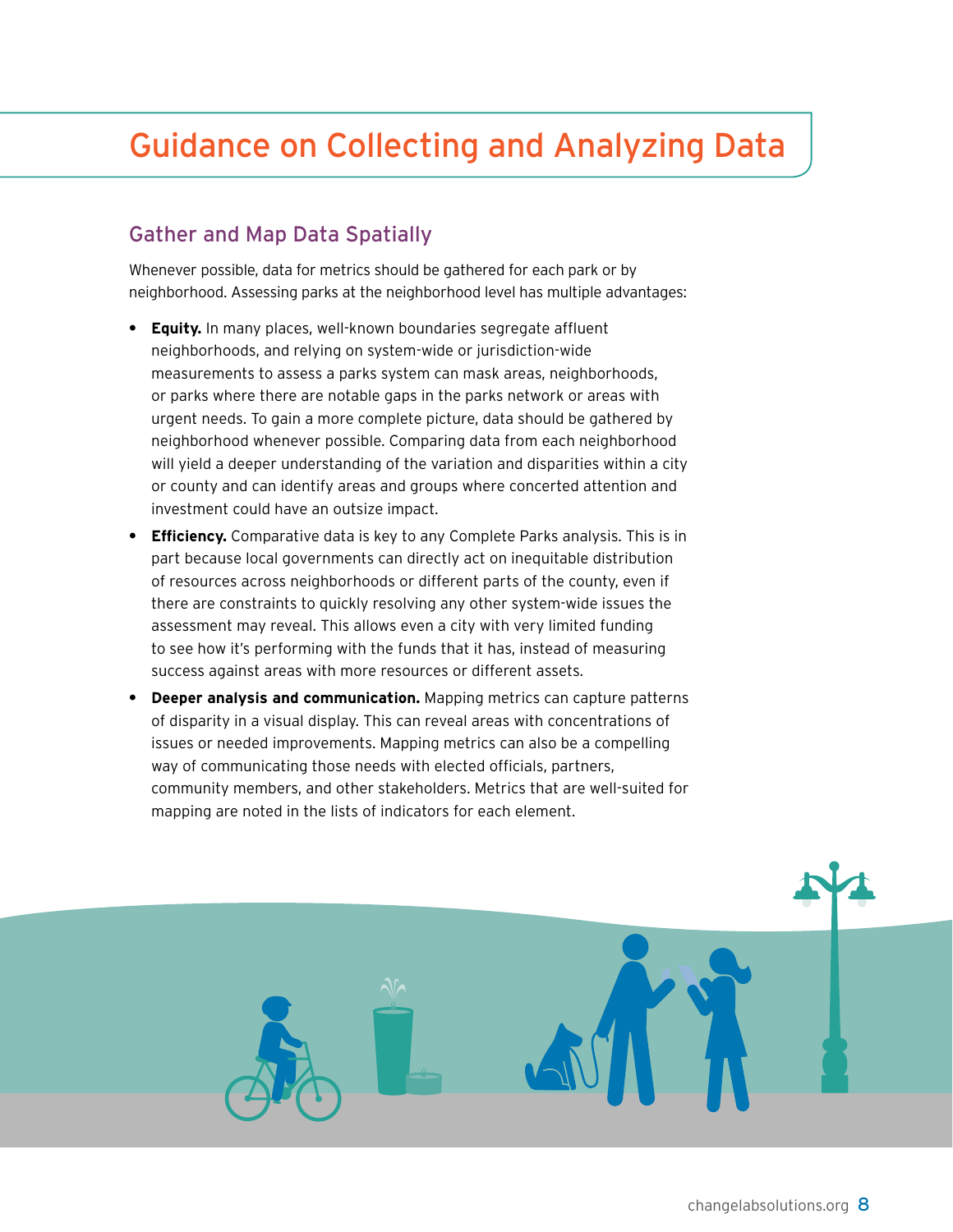## <span id="page-9-0"></span>Guidance on Collecting and Analyzing Data

#### Gather and Map Data Spatially

Whenever possible, data for metrics should be gathered for each park or by neighborhood. Assessing parks at the neighborhood level has multiple advantages:

- **• Equity.** In many places, well-known boundaries segregate affluent neighborhoods, and relying on system-wide or jurisdiction-wide measurements to assess a parks system can mask areas, neighborhoods, or parks where there are notable gaps in the parks network or areas with urgent needs. To gain a more complete picture, data should be gathered by neighborhood whenever possible. Comparing data from each neighborhood will yield a deeper understanding of the variation and disparities within a city or county and can identify areas and groups where concerted attention and investment could have an outsize impact.
- **• Efficiency.** Comparative data is key to any Complete Parks analysis. This is in part because local governments can directly act on inequitable distribution of resources across neighborhoods or different parts of the county, even if there are constraints to quickly resolving any other system-wide issues the assessment may reveal. This allows even a city with very limited funding to see how it's performing with the funds that it has, instead of measuring success against areas with more resources or different assets.
- **• Deeper analysis and communication.** Mapping metrics can capture patterns of disparity in a visual display. This can reveal areas with concentrations of issues or needed improvements. Mapping metrics can also be a compelling way of communicating those needs with elected officials, partners, community members, and other stakeholders. Metrics that are well-suited for mapping are noted in the lists of indicators for each element.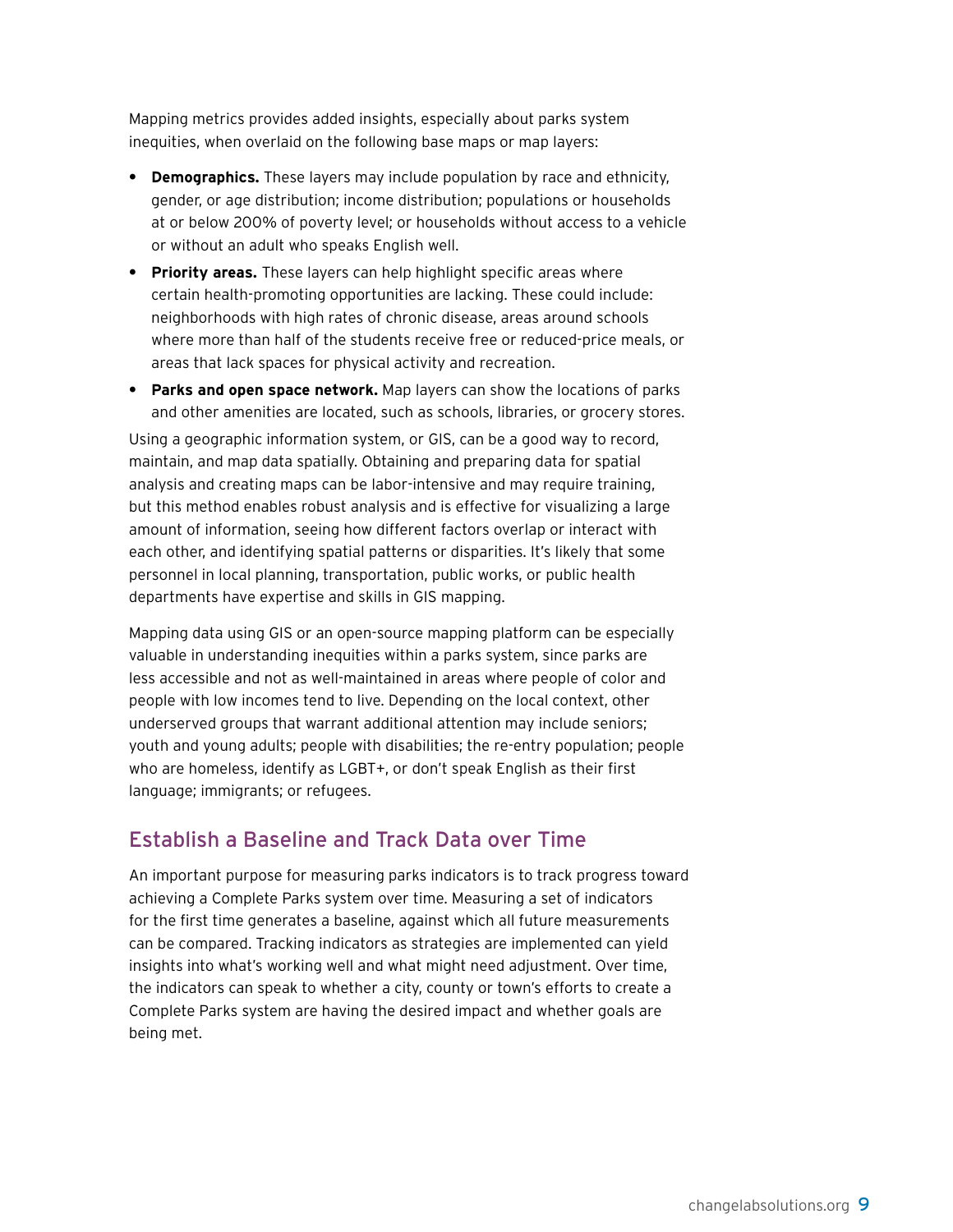Mapping metrics provides added insights, especially about parks system inequities, when overlaid on the following base maps or map layers:

- **• Demographics.** These layers may include population by race and ethnicity, gender, or age distribution; income distribution; populations or households at or below 200% of poverty level; or households without access to a vehicle or without an adult who speaks English well.
- **• Priority areas.** These layers can help highlight specific areas where certain health-promoting opportunities are lacking. These could include: neighborhoods with high rates of chronic disease, areas around schools where more than half of the students receive free or reduced-price meals, or areas that lack spaces for physical activity and recreation.
- **• Parks and open space network.** Map layers can show the locations of parks and other amenities are located, such as schools, libraries, or grocery stores.

Using a geographic information system, or GIS, can be a good way to record, maintain, and map data spatially. Obtaining and preparing data for spatial analysis and creating maps can be labor-intensive and may require training, but this method enables robust analysis and is effective for visualizing a large amount of information, seeing how different factors overlap or interact with each other, and identifying spatial patterns or disparities. It's likely that some personnel in local planning, transportation, public works, or public health departments have expertise and skills in GIS mapping.

Mapping data using GIS or an open-source mapping platform can be especially valuable in understanding inequities within a parks system, since parks are less accessible and not as well-maintained in areas where people of color and people with low incomes tend to live. Depending on the local context, other underserved groups that warrant additional attention may include seniors; youth and young adults; people with disabilities; the re-entry population; people who are homeless, identify as LGBT+, or don't speak English as their first language; immigrants; or refugees.

#### Establish a Baseline and Track Data over Time

An important purpose for measuring parks indicators is to track progress toward achieving a Complete Parks system over time. Measuring a set of indicators for the first time generates a baseline, against which all future measurements can be compared. Tracking indicators as strategies are implemented can yield insights into what's working well and what might need adjustment. Over time, the indicators can speak to whether a city, county or town's efforts to create a Complete Parks system are having the desired impact and whether goals are being met.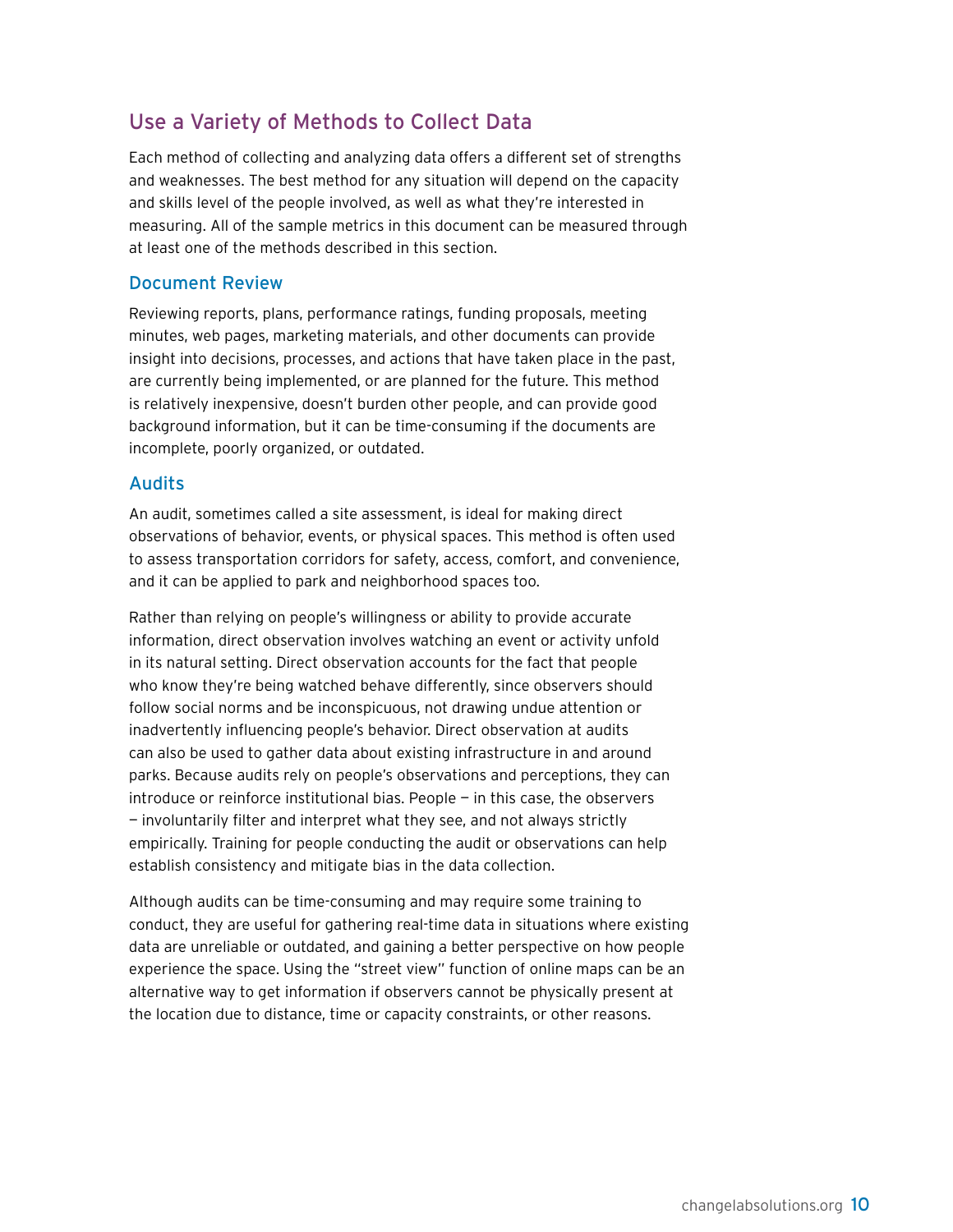#### Use a Variety of Methods to Collect Data

Each method of collecting and analyzing data offers a different set of strengths and weaknesses. The best method for any situation will depend on the capacity and skills level of the people involved, as well as what they're interested in measuring. All of the sample metrics in this document can be measured through at least one of the methods described in this section.

#### Document Review

Reviewing reports, plans, performance ratings, funding proposals, meeting minutes, web pages, marketing materials, and other documents can provide insight into decisions, processes, and actions that have taken place in the past, are currently being implemented, or are planned for the future. This method is relatively inexpensive, doesn't burden other people, and can provide good background information, but it can be time-consuming if the documents are incomplete, poorly organized, or outdated.

#### Audits

An audit, sometimes called a site assessment, is ideal for making direct observations of behavior, events, or physical spaces. This method is often used to assess transportation corridors for safety, access, comfort, and convenience, and it can be applied to park and neighborhood spaces too.

Rather than relying on people's willingness or ability to provide accurate information, direct observation involves watching an event or activity unfold in its natural setting. Direct observation accounts for the fact that people who know they're being watched behave differently, since observers should follow social norms and be inconspicuous, not drawing undue attention or inadvertently influencing people's behavior. Direct observation at audits can also be used to gather data about existing infrastructure in and around parks. Because audits rely on people's observations and perceptions, they can introduce or reinforce institutional bias. People  $-$  in this case, the observers — involuntarily filter and interpret what they see, and not always strictly empirically. Training for people conducting the audit or observations can help establish consistency and mitigate bias in the data collection.

Although audits can be time-consuming and may require some training to conduct, they are useful for gathering real-time data in situations where existing data are unreliable or outdated, and gaining a better perspective on how people experience the space. Using the "street view" function of online maps can be an alternative way to get information if observers cannot be physically present at the location due to distance, time or capacity constraints, or other reasons.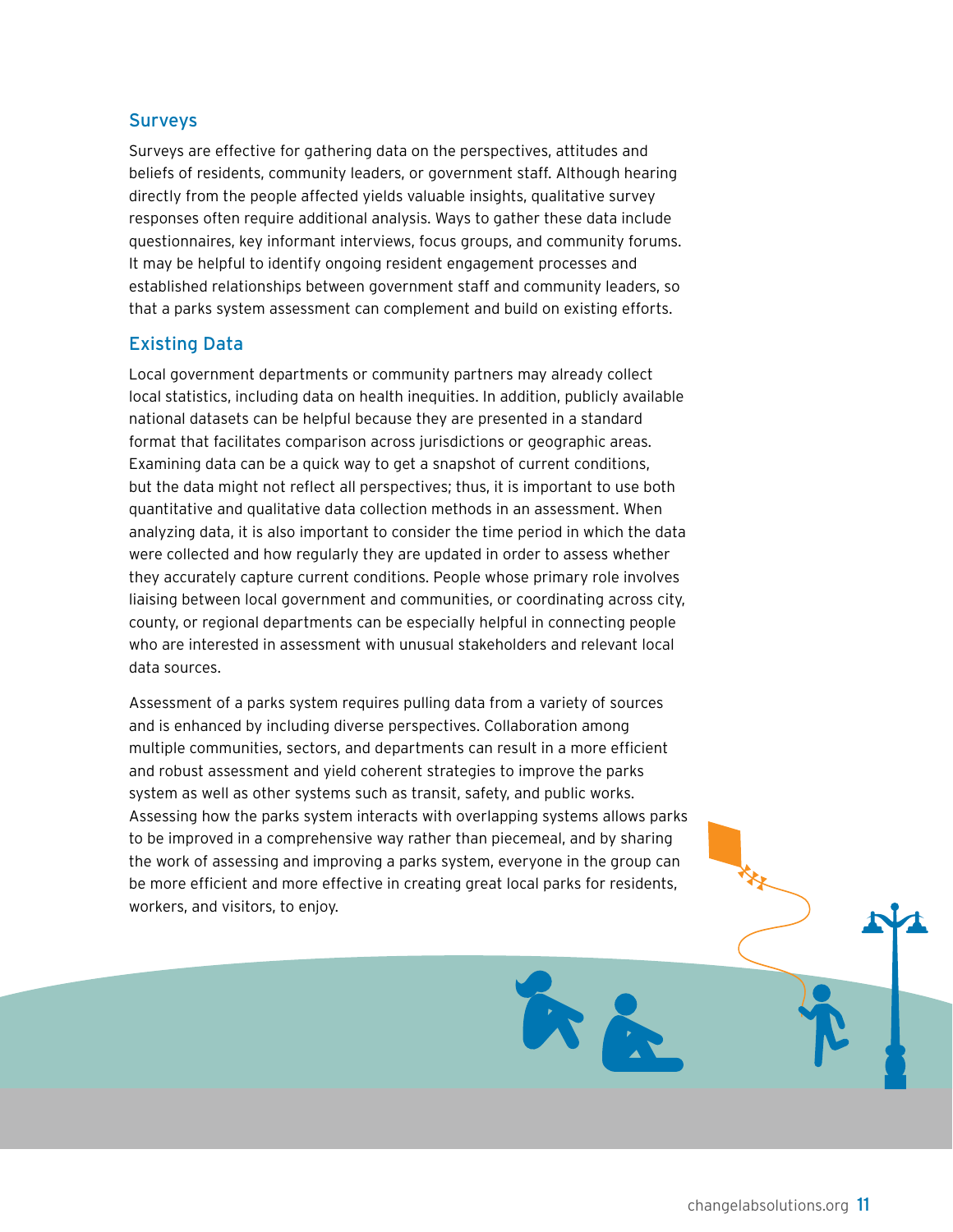#### **Surveys**

Surveys are effective for gathering data on the perspectives, attitudes and beliefs of residents, community leaders, or government staff. Although hearing directly from the people affected yields valuable insights, qualitative survey responses often require additional analysis. Ways to gather these data include questionnaires, key informant interviews, focus groups, and community forums. It may be helpful to identify ongoing resident engagement processes and established relationships between government staff and community leaders, so that a parks system assessment can complement and build on existing efforts.

#### Existing Data

Local government departments or community partners may already collect local statistics, including data on health inequities. In addition, publicly available national datasets can be helpful because they are presented in a standard format that facilitates comparison across jurisdictions or geographic areas. Examining data can be a quick way to get a snapshot of current conditions, but the data might not reflect all perspectives; thus, it is important to use both quantitative and qualitative data collection methods in an assessment. When analyzing data, it is also important to consider the time period in which the data were collected and how regularly they are updated in order to assess whether they accurately capture current conditions. People whose primary role involves liaising between local government and communities, or coordinating across city, county, or regional departments can be especially helpful in connecting people who are interested in assessment with unusual stakeholders and relevant local data sources.

Assessment of a parks system requires pulling data from a variety of sources and is enhanced by including diverse perspectives. Collaboration among multiple communities, sectors, and departments can result in a more efficient and robust assessment and yield coherent strategies to improve the parks system as well as other systems such as transit, safety, and public works. Assessing how the parks system interacts with overlapping systems allows parks to be improved in a comprehensive way rather than piecemeal, and by sharing the work of assessing and improving a parks system, everyone in the group can be more efficient and more effective in creating great local parks for residents, workers, and visitors, to enjoy.

in 2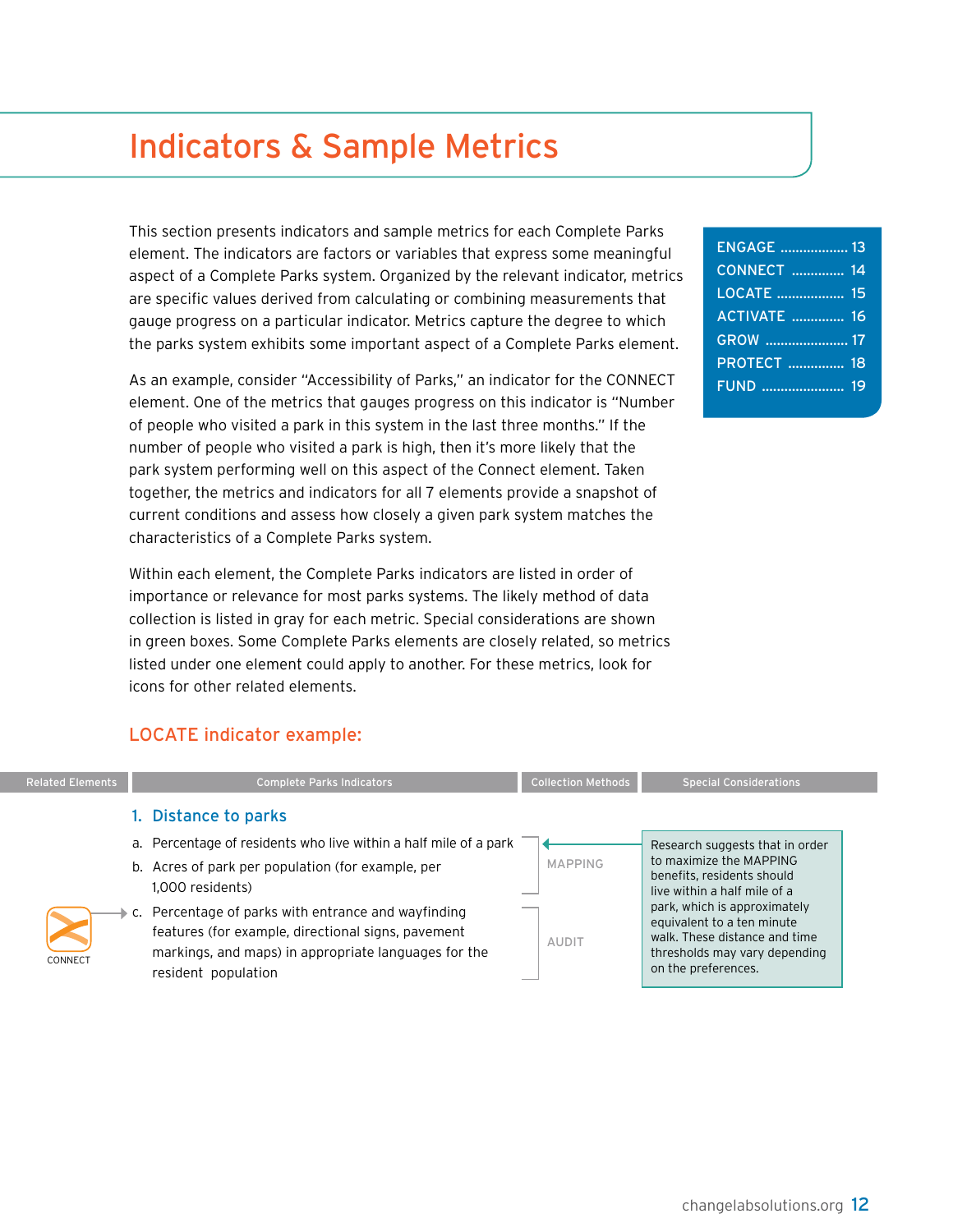## <span id="page-13-0"></span>Indicators & Sample Metrics

This section presents indicators and sample metrics for each Complete Parks element. The indicators are factors or variables that express some meaningful aspect of a Complete Parks system. Organized by the relevant indicator, metrics are specific values derived from calculating or combining measurements that gauge progress on a particular indicator. Metrics capture the degree to which the parks system exhibits some important aspect of a Complete Parks element.

As an example, consider "Accessibility of Parks," an indicator for the CONNECT element. One of the metrics that gauges progress on this indicator is "Number of people who visited a park in this system in the last three months." If the number of people who visited a park is high, then it's more likely that the park system performing well on this aspect of the Connect element. Taken together, the metrics and indicators for all 7 elements provide a snapshot of current conditions and assess how closely a given park system matches the characteristics of a Complete Parks system.

Within each element, the Complete Parks indicators are listed in order of importance or relevance for most parks systems. The likely method of data collection is listed in gray for each metric. Special considerations are shown in green boxes. Some Complete Parks elements are closely related, so metrics listed under one element could apply to another. For these metrics, look for icons for other related elements.

#### LOCATE indicator example:

| <b>Related Elements</b> | <b>Complete Parks Indicators</b>                                                                                                                                                         | <b>Collection Methods</b> | <b>Special Considerations</b>                                                                                                                       |
|-------------------------|------------------------------------------------------------------------------------------------------------------------------------------------------------------------------------------|---------------------------|-----------------------------------------------------------------------------------------------------------------------------------------------------|
|                         | 1. Distance to parks                                                                                                                                                                     |                           |                                                                                                                                                     |
|                         | a. Percentage of residents who live within a half mile of a park<br>b. Acres of park per population (for example, per<br>1.000 residents)                                                | <b>MAPPING</b>            | Research suggests that in order<br>to maximize the MAPPING<br>benefits, residents should<br>live within a half mile of a                            |
| CONNECT                 | c. Percentage of parks with entrance and wayfinding<br>features (for example, directional signs, pavement<br>markings, and maps) in appropriate languages for the<br>resident population | <b>AUDIT</b>              | park, which is approximately<br>equivalent to a ten minute<br>walk. These distance and time<br>thresholds may vary depending<br>on the preferences. |

| <b>ENGAGE</b> 13   |  |
|--------------------|--|
| <b>CONNECT</b> 14  |  |
| LOCATE  15         |  |
| <b>ACTIVATE</b> 16 |  |
|                    |  |
| <b>PROTECT  18</b> |  |
|                    |  |
|                    |  |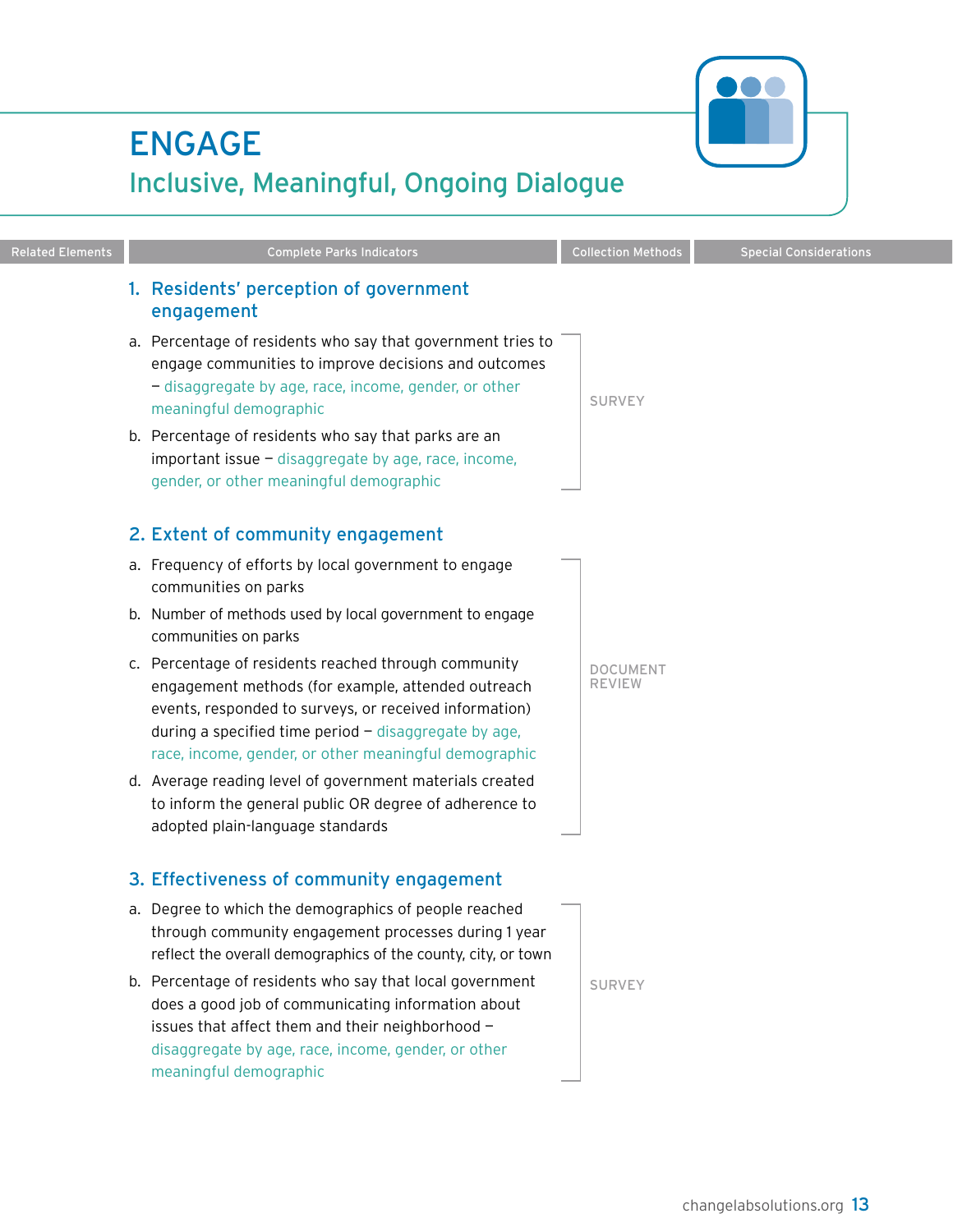## <span id="page-14-0"></span>ENGAGE Inclusive, Meaningful, Ongoing Dialogue

engagement a. Percentage of residents who say that government tries to engage communities to improve decisions and outcomes — disaggregate by age, race, income, gender, or other

1. Residents' perception of government

meaningful demographic

b. Percentage of residents who say that parks are an  $important$  issue  $-$  disaggregate by age, race, income, gender, or other meaningful demographic

#### 2. Extent of community engagement

- a. Frequency of efforts by local government to engage communities on parks
- b. Number of methods used by local government to engage communities on parks
- c. Percentage of residents reached through community engagement methods (for example, attended outreach events, responded to surveys, or received information) during a specified time period  $-$  disaggregate by age, race, income, gender, or other meaningful demographic
- d. Average reading level of government materials created to inform the general public OR degree of adherence to adopted plain-language standards

#### 3. Effectiveness of community engagement

- a. Degree to which the demographics of people reached through community engagement processes during 1 year reflect the overall demographics of the county, city, or town
- b. Percentage of residents who say that local government does a good job of communicating information about issues that affect them and their neighborhood disaggregate by age, race, income, gender, or other meaningful demographic

SURVEY

document review

Related Elements **Complete Parks Indicators** Collection Methods Special Considerations

SURVEY

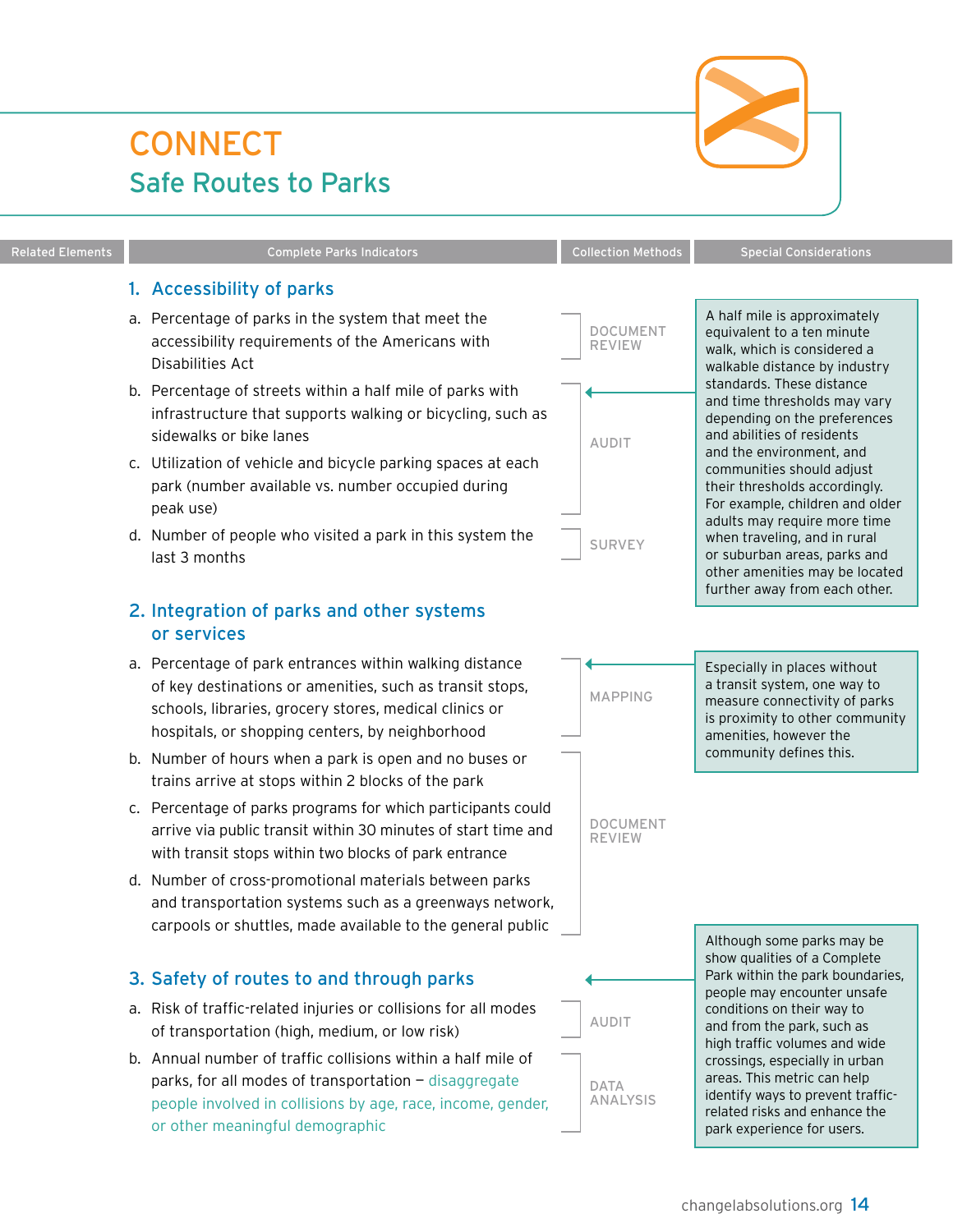## <span id="page-15-0"></span>**CONNECT** Safe Routes to Parks

#### Related Elements **Complete Parks Indicators** Collection Methods Special Considerations

#### 1. Accessibility of parks

- a. Percentage of parks in the system that meet the accessibility requirements of the Americans with Disabilities Act
- b. Percentage of streets within a half mile of parks with infrastructure that supports walking or bicycling, such as sidewalks or bike lanes
- c. Utilization of vehicle and bicycle parking spaces at each park (number available vs. number occupied during peak use)
- d. Number of people who visited a park in this system the last 3 months

#### 2. Integration of parks and other systems or services

- a. Percentage of park entrances within walking distance of key destinations or amenities, such as transit stops, schools, libraries, grocery stores, medical clinics or hospitals, or shopping centers, by neighborhood
- b. Number of hours when a park is open and no buses or trains arrive at stops within 2 blocks of the park
- c. Percentage of parks programs for which participants could arrive via public transit within 30 minutes of start time and with transit stops within two blocks of park entrance
- d. Number of cross-promotional materials between parks and transportation systems such as a greenways network, carpools or shuttles, made available to the general public

#### 3. Safety of routes to and through parks

- a. Risk of traffic-related injuries or collisions for all modes of transportation (high, medium, or low risk)
- b. Annual number of traffic collisions within a half mile of parks, for all modes of transportation — disaggregate people involved in collisions by age, race, income, gender, or other meaningful demographic







## document review **AUDIT**

**SURVEY**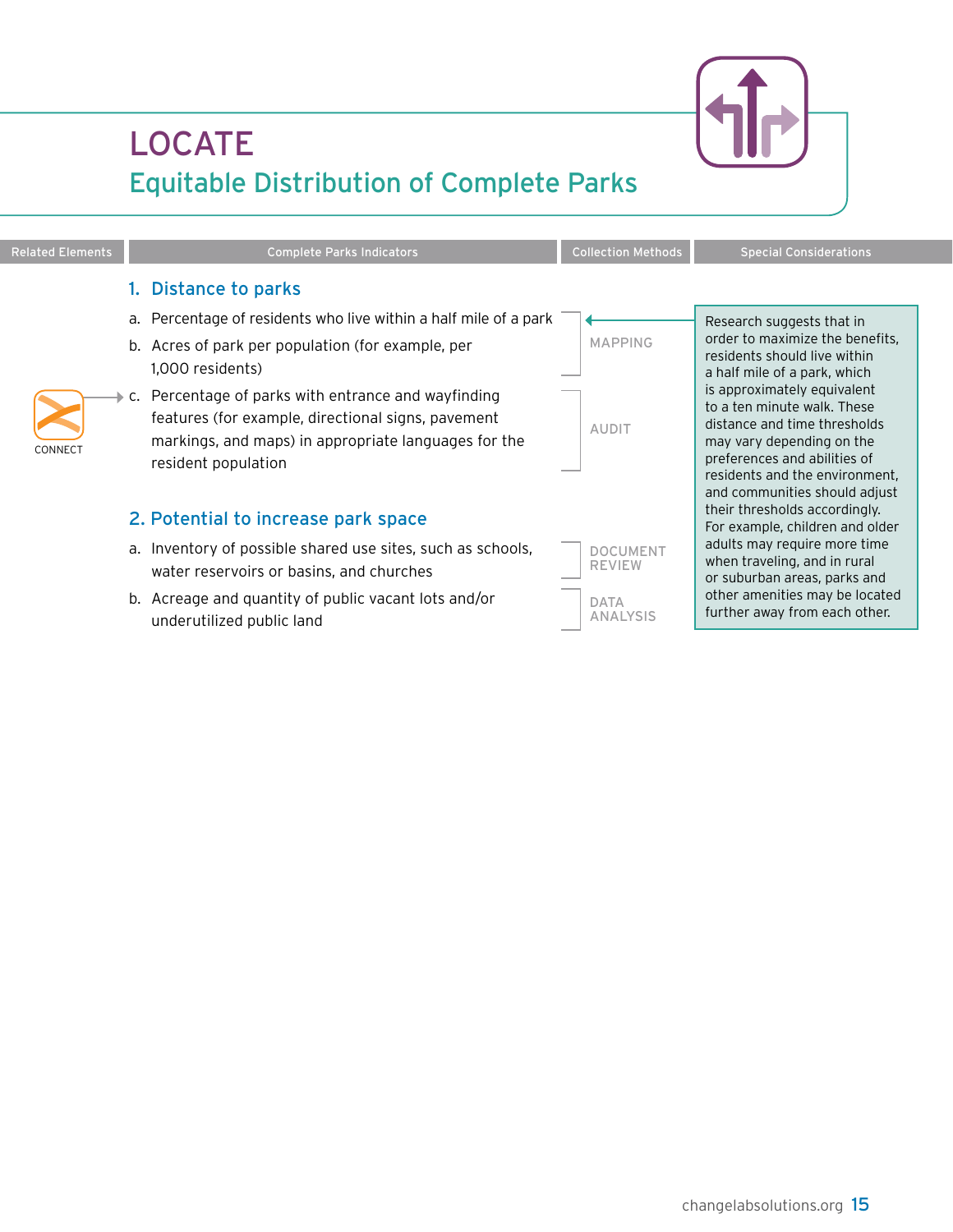# LOCATE

|         | 1. Distance to parks                                                                                                                                                                                                                                                                                                                                |                                  |                                                                                                                                                                                                                                                                                                                                                                                                                                                                |
|---------|-----------------------------------------------------------------------------------------------------------------------------------------------------------------------------------------------------------------------------------------------------------------------------------------------------------------------------------------------------|----------------------------------|----------------------------------------------------------------------------------------------------------------------------------------------------------------------------------------------------------------------------------------------------------------------------------------------------------------------------------------------------------------------------------------------------------------------------------------------------------------|
| CONNECT | a. Percentage of residents who live within a half mile of a park<br>b. Acres of park per population (for example, per<br>1,000 residents)<br>$\rightarrow$ c. Percentage of parks with entrance and wayfinding<br>features (for example, directional signs, pavement<br>markings, and maps) in appropriate languages for the<br>resident population | <b>MAPPING</b><br><b>AUDIT</b>   | Research suggests that in<br>order to maximize the benefits.<br>residents should live within<br>a half mile of a park, which<br>is approximately equivalent<br>to a ten minute walk. These<br>distance and time thresholds<br>may vary depending on the<br>preferences and abilities of<br>residents and the environment,<br>and communities should adjust<br>their thresholds accordingly.<br>For example, children and older<br>adults may require more time |
|         | 2. Potential to increase park space                                                                                                                                                                                                                                                                                                                 |                                  |                                                                                                                                                                                                                                                                                                                                                                                                                                                                |
|         | a. Inventory of possible shared use sites, such as schools,<br>water reservoirs or basins, and churches                                                                                                                                                                                                                                             | <b>DOCUMENT</b><br><b>REVIEW</b> | when traveling, and in rural<br>or suburban areas, parks and                                                                                                                                                                                                                                                                                                                                                                                                   |
|         | b. Acreage and quantity of public vacant lots and/or<br>underutilized public land                                                                                                                                                                                                                                                                   | <b>DATA</b><br>ANALYSIS          | other amenities may be located<br>further away from each other.                                                                                                                                                                                                                                                                                                                                                                                                |



# Equitable Distribution of Complete Parks

<span id="page-16-0"></span>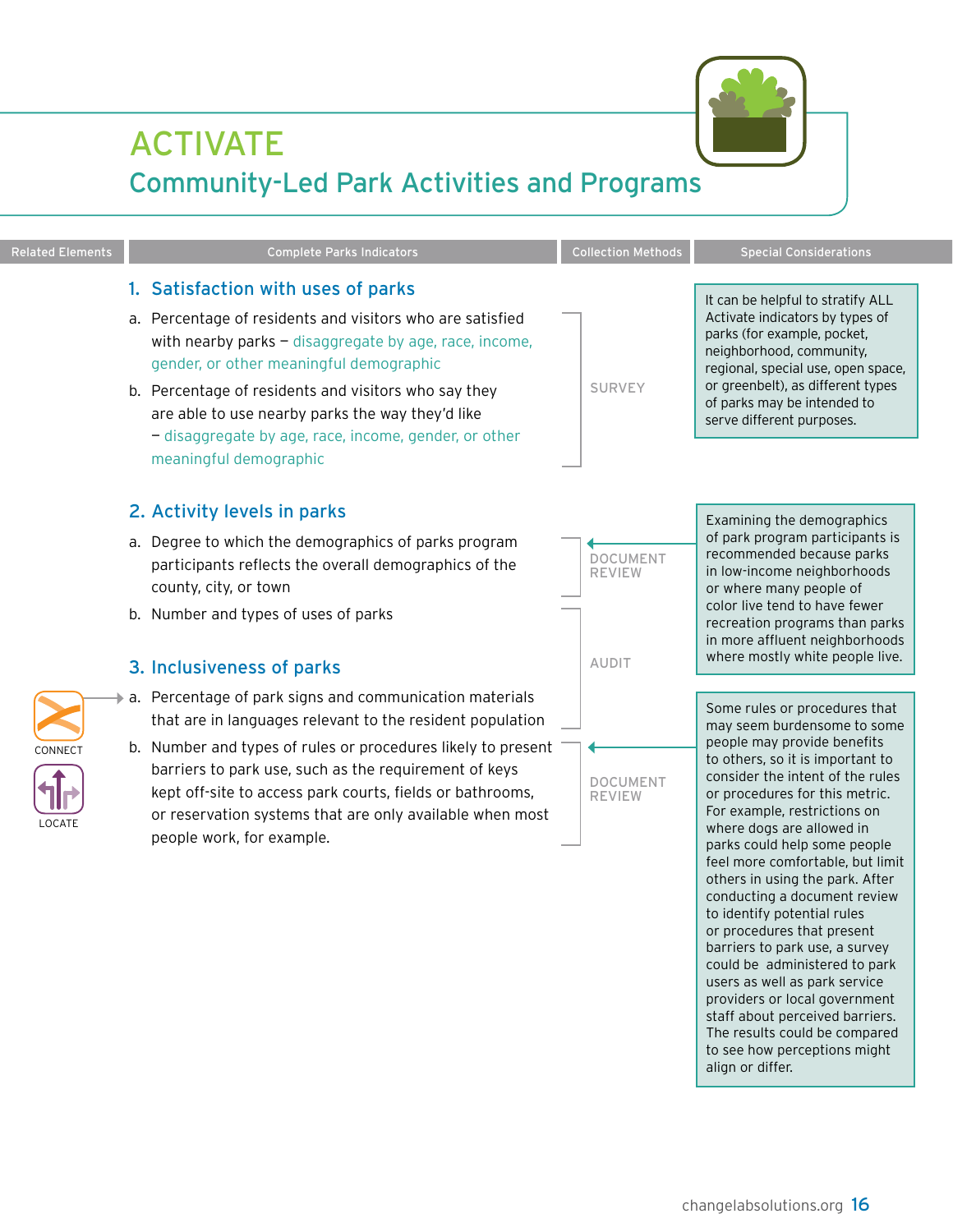## <span id="page-17-0"></span>ACTIVATE Community-Led Park Activities and Programs

Related Elements **Complete Parks Indicators** Collection Methods Special Considerations

#### 1. Satisfaction with uses of parks

- a. Percentage of residents and visitors who are satisfied with nearby parks  $-$  disaggregate by age, race, income, gender, or other meaningful demographic
- b. Percentage of residents and visitors who say they are able to use nearby parks the way they'd like — disaggregate by age, race, income, gender, or other meaningful demographic

#### 2. Activity levels in parks

- a. Degree to which the demographics of parks program participants reflects the overall demographics of the county, city, or town
- b. Number and types of uses of parks

#### 3. Inclusiveness of parks

- $\blacktriangleright$  a. Percentage of park signs and communication materials that are in languages relevant to the resident population
- b. Number and types of rules or procedures likely to present barriers to park use, such as the requirement of keys kept off-site to access park courts, fields or bathrooms, or reservation systems that are only available when most people work, for example.

Examining the demographics of park program participants is recommended because parks in low-income neighborhoods or where many people of color live tend to have fewer recreation programs than parks in more affluent neighborhoods where mostly white people live.

Some rules or procedures that may seem burdensome to some people may provide benefits to others, so it is important to consider the intent of the rules or procedures for this metric. For example, restrictions on where dogs are allowed in parks could help some people feel more comfortable, but limit others in using the park. After conducting a document review to identify potential rules or procedures that present barriers to park use, a survey could be administered to park users as well as park service providers or local government staff about perceived barriers. The results could be compared to see how perceptions might align or differ.



**AUDIT** 

**DOCUMENT** review



It can be helpful to stratify ALL Activate indicators by types of parks (for example, pocket, neighborhood, community, regional, special use, open space,





locate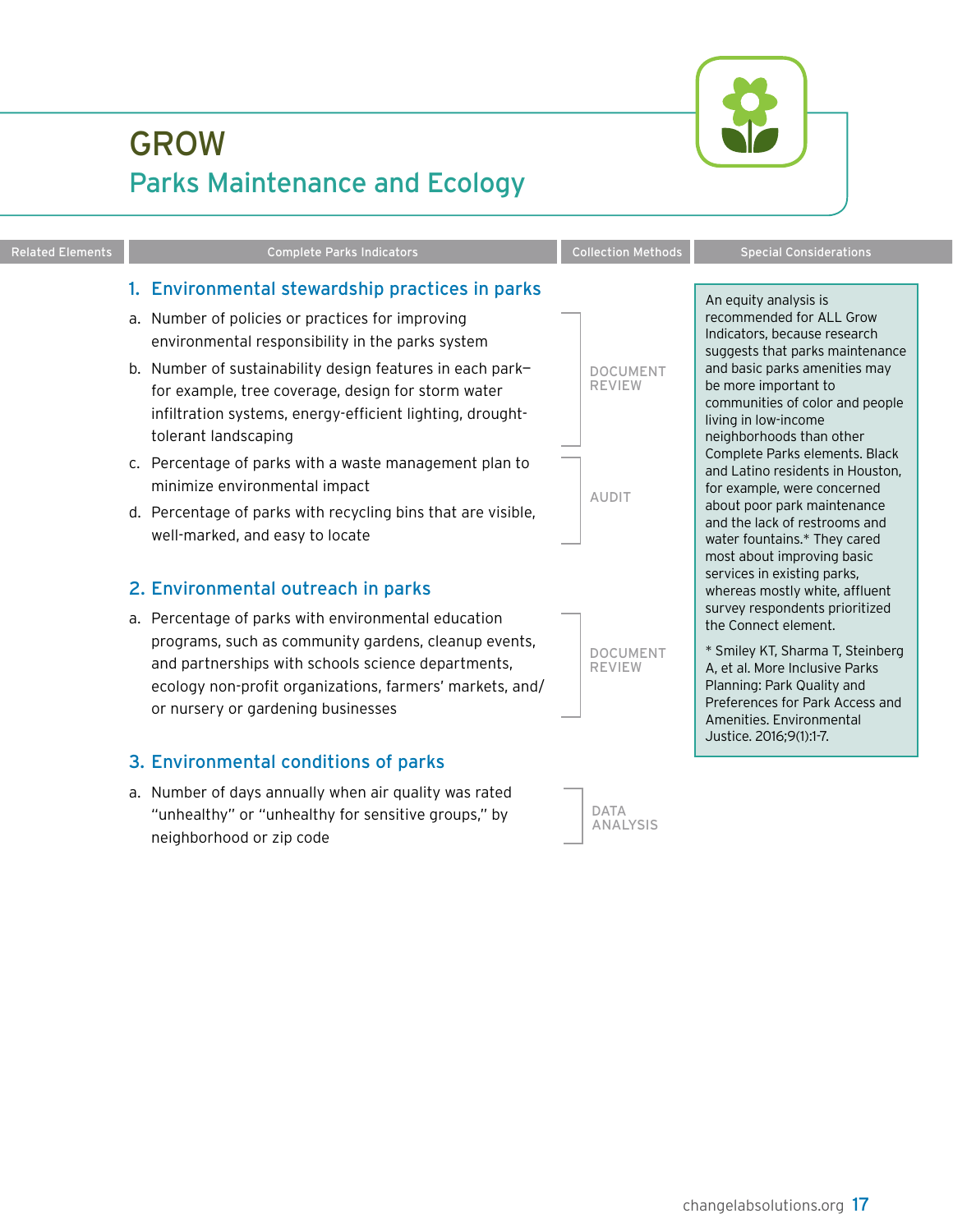<span id="page-18-0"></span>

| <b>Related Elements</b> | <b>Complete Parks Indicators</b>                                                                                                                                                                                                                                                                                                                                                                                                                                                                                                                                                                                                                                                                                                                                                                                        | <b>Collection Methods</b>                                                            | <b>Special Considerations</b>                                                                                                                                                                                                                                                                                                                                                                                                                                                                                                                                                                                                                                                                                                                    |
|-------------------------|-------------------------------------------------------------------------------------------------------------------------------------------------------------------------------------------------------------------------------------------------------------------------------------------------------------------------------------------------------------------------------------------------------------------------------------------------------------------------------------------------------------------------------------------------------------------------------------------------------------------------------------------------------------------------------------------------------------------------------------------------------------------------------------------------------------------------|--------------------------------------------------------------------------------------|--------------------------------------------------------------------------------------------------------------------------------------------------------------------------------------------------------------------------------------------------------------------------------------------------------------------------------------------------------------------------------------------------------------------------------------------------------------------------------------------------------------------------------------------------------------------------------------------------------------------------------------------------------------------------------------------------------------------------------------------------|
|                         | 1. Environmental stewardship practices in parks                                                                                                                                                                                                                                                                                                                                                                                                                                                                                                                                                                                                                                                                                                                                                                         |                                                                                      | An equity analysis is                                                                                                                                                                                                                                                                                                                                                                                                                                                                                                                                                                                                                                                                                                                            |
|                         | a. Number of policies or practices for improving<br>environmental responsibility in the parks system<br>b. Number of sustainability design features in each park-<br>for example, tree coverage, design for storm water<br>infiltration systems, energy-efficient lighting, drought-<br>tolerant landscaping<br>c. Percentage of parks with a waste management plan to<br>minimize environmental impact<br>d. Percentage of parks with recycling bins that are visible,<br>well-marked, and easy to locate<br>2. Environmental outreach in parks<br>a. Percentage of parks with environmental education<br>programs, such as community gardens, cleanup events,<br>and partnerships with schools science departments,<br>ecology non-profit organizations, farmers' markets, and/<br>or nursery or gardening businesses | <b>DOCUMENT</b><br><b>REVIEW</b><br><b>AUDIT</b><br><b>DOCUMENT</b><br><b>REVIEW</b> | recommended for ALL Grow<br>Indicators, because research<br>suggests that parks maintenance<br>and basic parks amenities may<br>be more important to<br>communities of color and people<br>living in low-income<br>neighborhoods than other<br>Complete Parks elements. Black<br>and Latino residents in Houston,<br>for example, were concerned<br>about poor park maintenance<br>and the lack of restrooms and<br>water fountains.* They cared<br>most about improving basic<br>services in existing parks,<br>whereas mostly white, affluent<br>survey respondents prioritized<br>the Connect element.<br>* Smiley KT, Sharma T, Steinberg<br>A, et al. More Inclusive Parks<br>Planning: Park Quality and<br>Preferences for Park Access and |
|                         | 3. Environmental conditions of parks<br>a. Number of days annually when air quality was rated<br>"unhealthy" or "unhealthy for sensitive groups," by<br>neighborhood or zip code                                                                                                                                                                                                                                                                                                                                                                                                                                                                                                                                                                                                                                        | <b>DATA</b><br><b>ANALYSIS</b>                                                       | Amenities. Environmental<br>Justice. 2016;9(1):1-7.                                                                                                                                                                                                                                                                                                                                                                                                                                                                                                                                                                                                                                                                                              |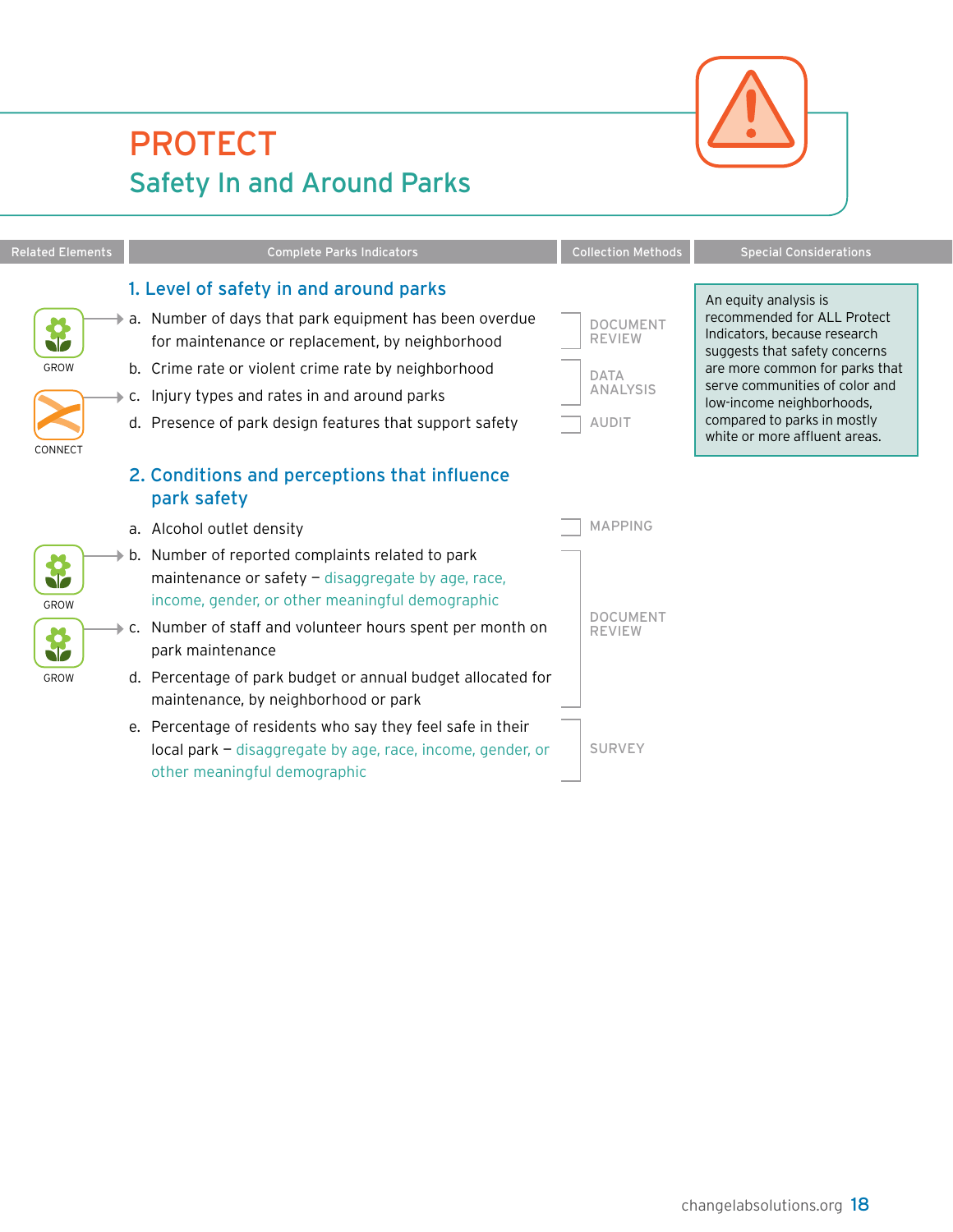<span id="page-19-0"></span>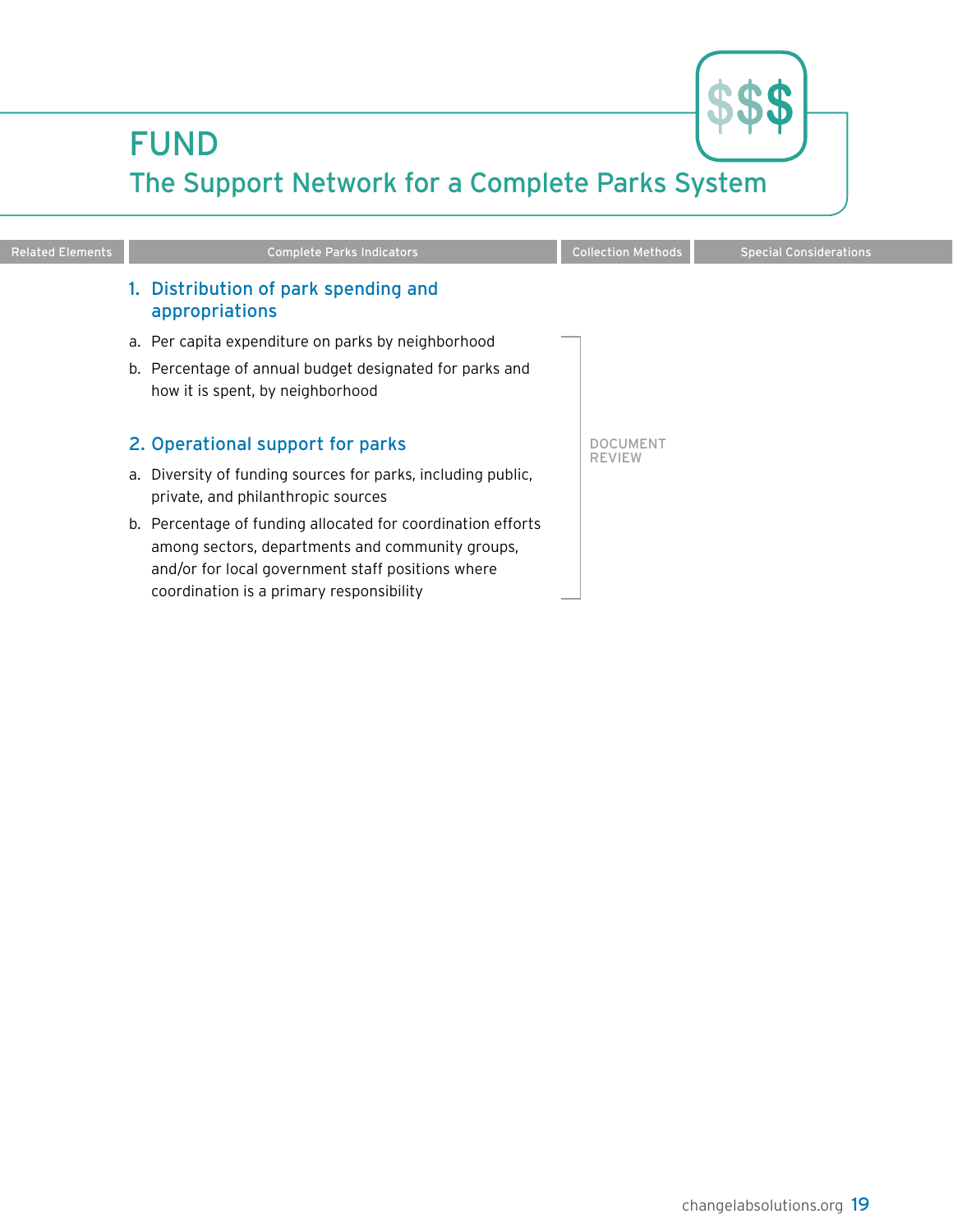## <span id="page-20-0"></span>FUND



## The Support Network for a Complete Parks System

| <b>Related Elements</b> | <b>Complete Parks Indicators</b>                                                                                                                                                                                 | <b>Collection Methods</b>        | <b>Special Considerations</b> |
|-------------------------|------------------------------------------------------------------------------------------------------------------------------------------------------------------------------------------------------------------|----------------------------------|-------------------------------|
|                         | Distribution of park spending and<br>appropriations                                                                                                                                                              |                                  |                               |
|                         | a. Per capita expenditure on parks by neighborhood                                                                                                                                                               |                                  |                               |
|                         | b. Percentage of annual budget designated for parks and<br>how it is spent, by neighborhood                                                                                                                      |                                  |                               |
|                         | 2. Operational support for parks                                                                                                                                                                                 | <b>DOCUMENT</b><br><b>REVIEW</b> |                               |
|                         | a. Diversity of funding sources for parks, including public,<br>private, and philanthropic sources                                                                                                               |                                  |                               |
|                         | b. Percentage of funding allocated for coordination efforts<br>among sectors, departments and community groups,<br>and/or for local government staff positions where<br>coordination is a primary responsibility |                                  |                               |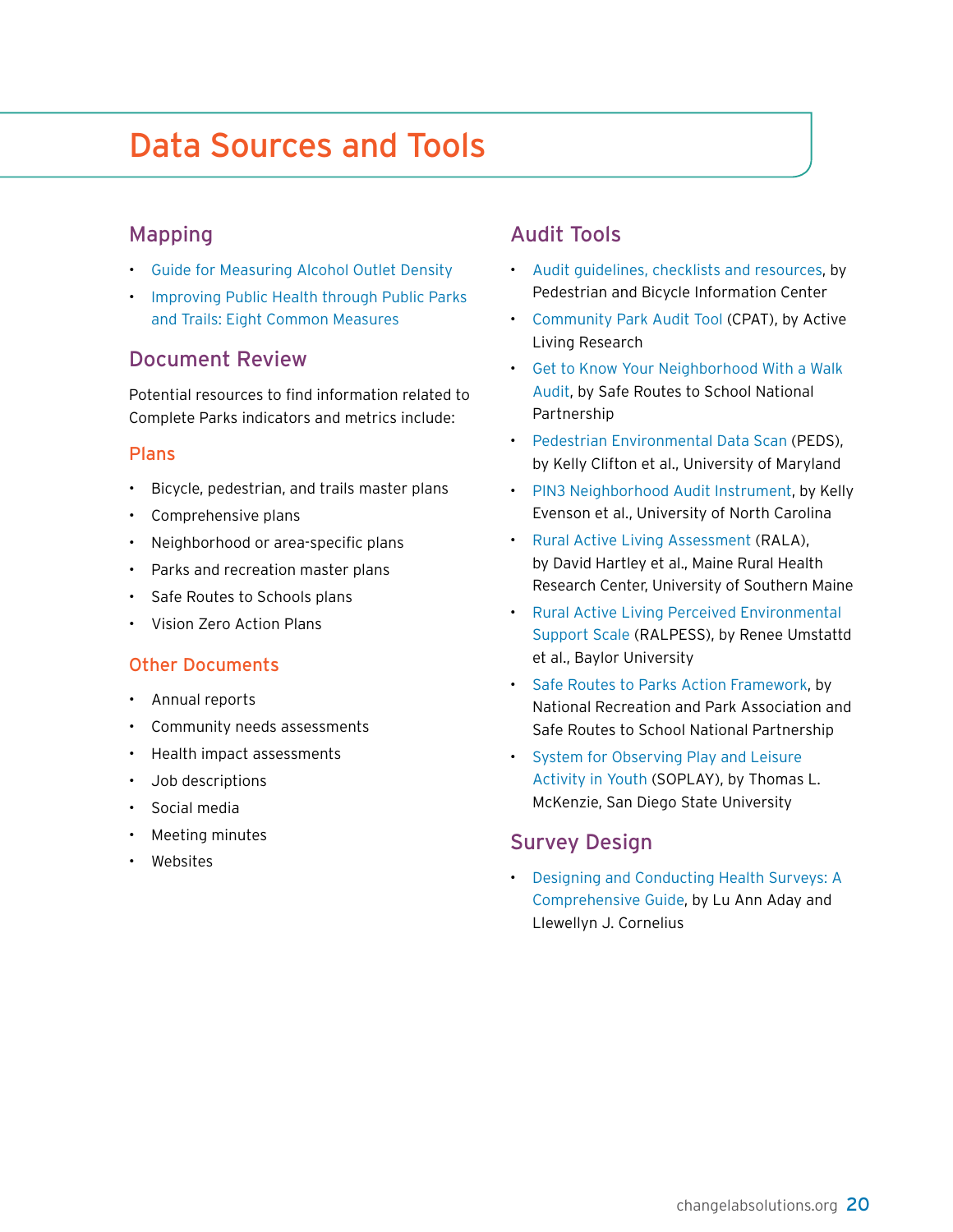## <span id="page-21-0"></span>Data Sources and Tools

#### Mapping

- [Guide for Measuring Alcohol Outlet Density](https://www.cdc.gov/alcohol/pdfs/CDC-Guide-for-Measuring-Alcohol-Outlet-Density.pdf)
- [Improving Public Health through Public Parks](https://npgallery.nps.gov/RTCA/GetAsset/f09e69fc-2696-45e8-b4d5-90e4cea5e689)  [and Trails: Eight Common Measures](https://npgallery.nps.gov/RTCA/GetAsset/f09e69fc-2696-45e8-b4d5-90e4cea5e689)

#### Document Review

Potential resources to find information related to Complete Parks indicators and metrics include:

#### Plans

- Bicycle, pedestrian, and trails master plans
- Comprehensive plans
- Neighborhood or area-specific plans
- Parks and recreation master plans
- Safe Routes to Schools plans
- Vision Zero Action Plans

#### Other Documents

- Annual reports
- Community needs assessments
- Health impact assessments
- Job descriptions
- Social media
- Meeting minutes
- Websites

#### Audit Tools

- [Audit guidelines, checklists and resources](http://www.pedbikeinfo.org/planning/tools_audits.cfm), by Pedestrian and Bicycle Information Center
- [Community Park Audit Tool](https://activelivingresearch.org/community-park-audit-tool-cpat) (CPAT), by Active Living Research
- [Get to Know Your Neighborhood With a Walk](https://www.saferoutespartnership.org/sites/default/files/get_to_know_your_neighborhood_with_a_walk_audit.pdf)  [Audit](https://www.saferoutespartnership.org/sites/default/files/get_to_know_your_neighborhood_with_a_walk_audit.pdf), by Safe Routes to School National Partnership
- [Pedestrian Environmental Data](https://activelivingresearch.org/pedestrian-environment-data-scan-peds-tool) Scan (PEDS), by Kelly Clifton et al., University of Maryland
- [PIN3 Neighborhood Audit Instrument,](https://activelivingresearch.org/pin3-neighborhood-audit-instrument) by Kelly Evenson et al., University of North Carolina
- [Rural Active Living Assessment](https://activelivingresearch.org/rural-active-living-assessment-rala-tools) (RALA), by David Hartley et al., Maine Rural Health Research Center, University of Southern Maine
- [Rural Active Living Perceived Environmental](https://activelivingresearch.org/rural-active-living-perceived-environment-support-scale-ralpess)  [Support Scale](https://activelivingresearch.org/rural-active-living-perceived-environment-support-scale-ralpess) (RALPESS), by Renee Umstattd et al., Baylor University
- [Safe Routes to Parks Action Framework,](https://www.nrpa.org/contentassets/64ee196b5bf241c6ac3462b8d42d1e66/safe-routes-action-framework.pdf) by National Recreation and Park Association and Safe Routes to School National Partnership
- [System for Observing Play and Leisure](https://activelivingresearch.org/soplay-system-observing-play-and-leisure-activity-youth)  [Activity in Youth](https://activelivingresearch.org/soplay-system-observing-play-and-leisure-activity-youth) (SOPLAY), by Thomas L. McKenzie, San Diego State University

#### Survey Design

• [Designing and Conducting Health Surveys: A](http://citeseerx.ist.psu.edu/viewdoc/download?doi=10.1.1.476.5561&rep=rep1&type=pdf)  [Comprehensive Guide,](http://citeseerx.ist.psu.edu/viewdoc/download?doi=10.1.1.476.5561&rep=rep1&type=pdf) by Lu Ann Aday and Llewellyn J. Cornelius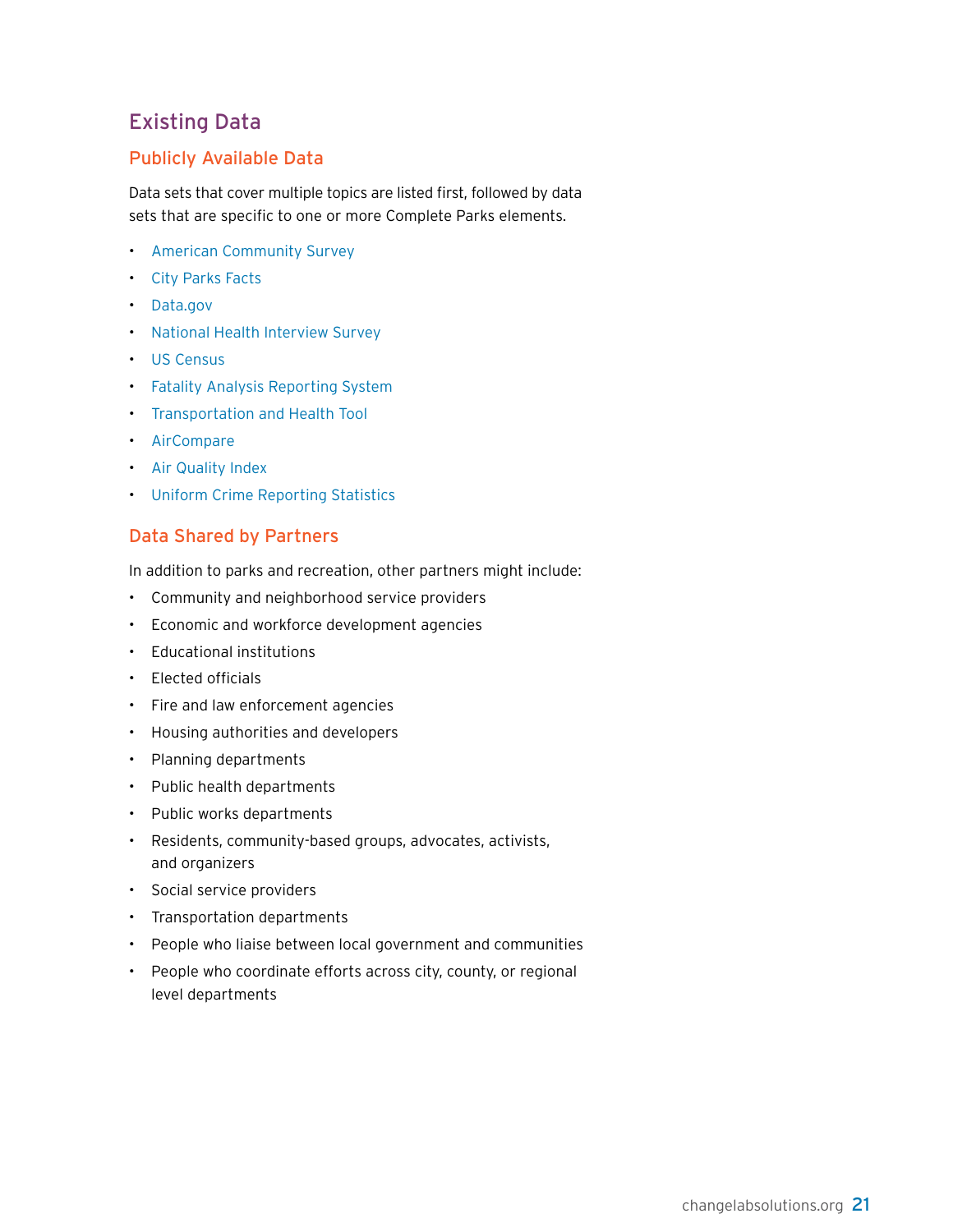#### Existing Data

#### Publicly Available Data

Data sets that cover multiple topics are listed first, followed by data sets that are specific to one or more Complete Parks elements.

- [American Community Survey](https://www.census.gov/programs-surveys/acs)
- [City Parks Facts](https://www.tpl.org/2017-city-park-facts-report-and-related-files#sm.0000f653qntnqdxbr7l1vs67j661b)
- [Data.gov](https://www.data.gov/)
- [National Health Interview Survey](https://www.cdc.gov/nchs/nhis/index.html)
- [US Census](https://www.census.gov)
- [Fatality Analysis Reporting System](https://www.nhtsa.gov/research-data/fatality-analysis-reporting-system-fars)
- [Transportation and Health Tool](https://www.transportation.gov/mission/health/road-traffic-fatalities-mode)
- [AirCompare](https://www3.epa.gov/aircompare)
- [Air Quality Index](https://airnow.gov/index.cfm?action=airnow.main)
- [Uniform Crime Reporting Statistics](https://www.ucrdatatool.gov)

#### Data Shared by Partners

In addition to parks and recreation, other partners might include:

- Community and neighborhood service providers
- Economic and workforce development agencies
- Educational institutions
- Elected officials
- Fire and law enforcement agencies
- Housing authorities and developers
- Planning departments
- Public health departments
- Public works departments
- Residents, community-based groups, advocates, activists, and organizers
- Social service providers
- Transportation departments
- People who liaise between local government and communities
- People who coordinate efforts across city, county, or regional level departments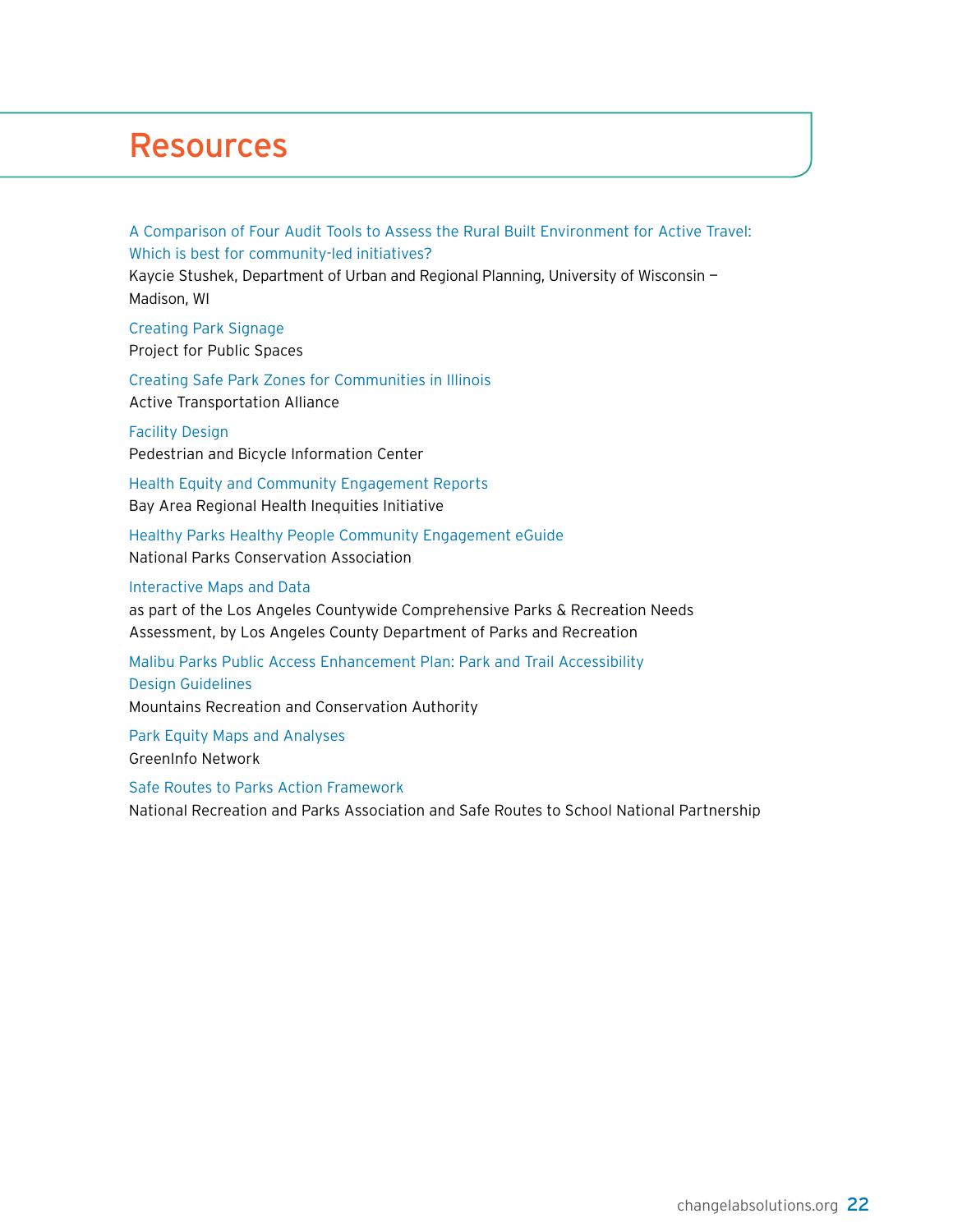### <span id="page-23-0"></span>Resources

[A Comparison of Four Audit Tools to Assess the Rural Built Environment for Active Travel:](https://dpla.wisc.edu/sites/dpla.wisc.edu/files/inline-files/Stushek%2C%20Kaycie_Professional%20project%20final.pdf)  [Which is best for community-led initiatives?](https://dpla.wisc.edu/sites/dpla.wisc.edu/files/inline-files/Stushek%2C%20Kaycie_Professional%20project%20final.pdf) Kaycie Stushek, Department of Urban and Regional Planning, University of Wisconsin —

Madison, WI

[Creating Park Signage](https://www.pps.org/reference/signage) Project for Public Spaces

[Creating Safe Park Zones for Communities in Illinois](http://atpolicy.org/wp-content/uploads/2016/05/Creating-a-Safe-Park-Zone-for-Communities-in-Illinois-Active-Transportation-Alliance_BGW.pdf) Active Transportation Alliance

[Facility Design](http://www.pedbikeinfo.org/planning/facilities.cfm) Pedestrian and Bicycle Information Center

[Health Equity and Community Engagement Reports](http://barhii.org/resources/health-equity-community-engagement-reports) Bay Area Regional Health Inequities Initiative

[Healthy Parks Healthy People Community Engagement eGuide](https://www.npca.org/resources/2924-healthy-parks-healthy-people-community-engagement-eguide) National Parks Conservation Association

[Interactive Maps and Data](http://lacountyparkneeds.org/interactive-maps-and-data/) as part of the Los Angeles Countywide Comprehensive Parks & Recreation Needs Assessment, by Los Angeles County Department of Parks and Recreation

[Malibu Parks Public Access Enhancement Plan: Park and Trail Accessibility](http://atfiles.org/files/pdf/Trail-Accessibility-Design-Malibu.pdf)  [Design Guidelines](http://atfiles.org/files/pdf/Trail-Accessibility-Design-Malibu.pdf) Mountains Recreation and Conservation Authority

[Park Equity Maps and Analyses](http://www.greeninfo.org/products/park-equity) GreenInfo Network

[Safe Routes to Parks Action Framework](https://www.nrpa.org/contentassets/64ee196b5bf241c6ac3462b8d42d1e66/safe-routes-action-framework.pdf) National Recreation and Parks Association and Safe Routes to School National Partnership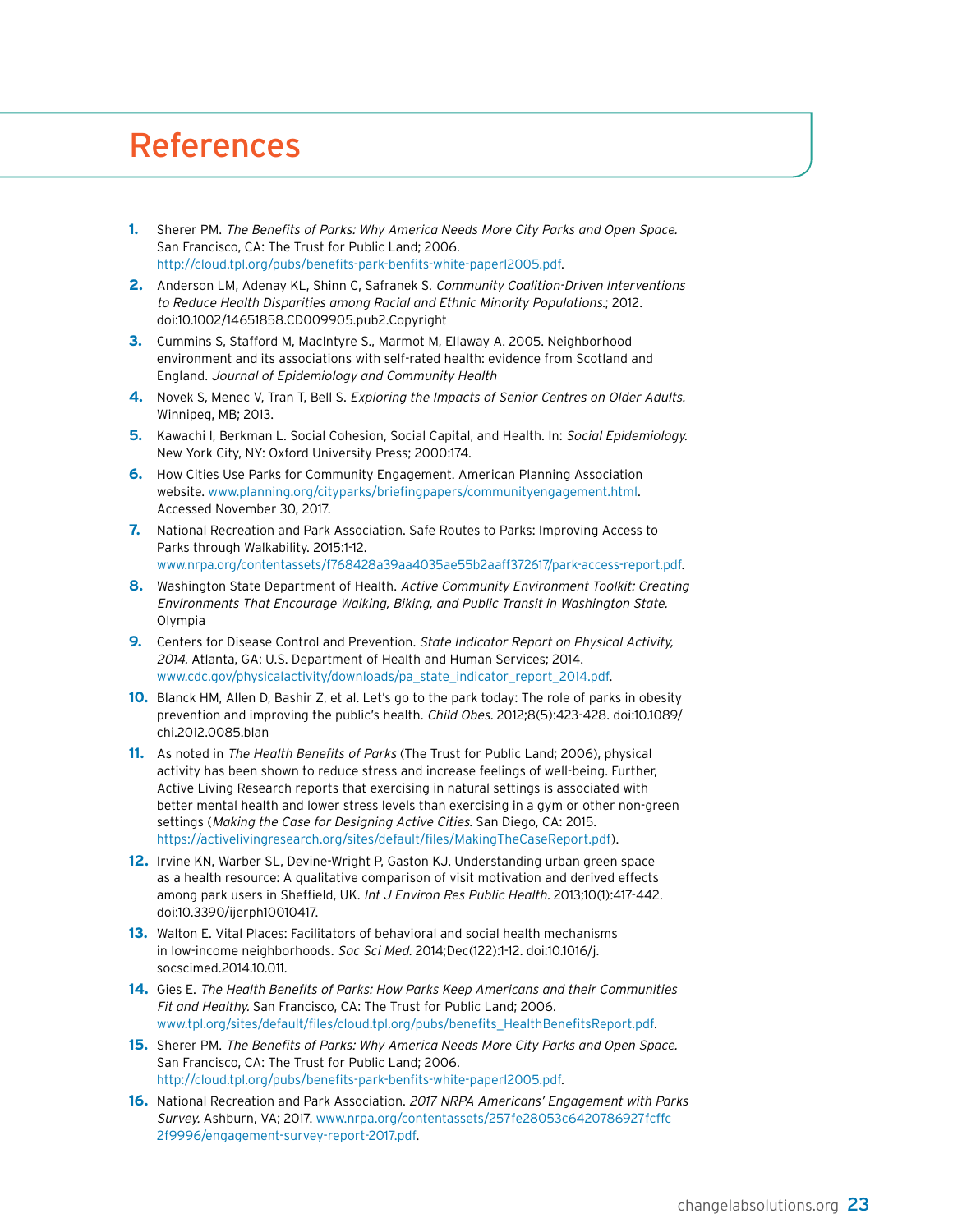### <span id="page-24-0"></span>References

- **1.** Sherer PM. The Benefits of Parks: Why America Needs More City Parks and Open Space. San Francisco, CA: The Trust for Public Land; 2006. [http://cloud.tpl.org/pubs/benefits-park-benfits-white-paperl2005.pdf.](http://cloud.tpl.org/pubs/benefits-park-benfits-white-paperl2005.pdf)
- **2.** Anderson LM, Adenay KL, Shinn C, Safranek S. Community Coalition-Driven Interventions to Reduce Health Disparities among Racial and Ethnic Minority Populations.; 2012. doi:10.1002/14651858.CD009905.pub2.Copyright
- **3.** Cummins S, Stafford M, MacIntyre S., Marmot M, Ellaway A. 2005. Neighborhood environment and its associations with self-rated health: evidence from Scotland and England. Journal of Epidemiology and Community Health
- **4.** Novek S, Menec V, Tran T, Bell S. Exploring the Impacts of Senior Centres on Older Adults. Winnipeg, MB; 2013.
- **5.** Kawachi I, Berkman L. Social Cohesion, Social Capital, and Health. In: Social Epidemiology. New York City, NY: Oxford University Press; 2000:174.
- **6.** How Cities Use Parks for Community Engagement. American Planning Association website. [www.planning.org/cityparks/briefingpapers/communityengagement.html.](http://www.planning.org/cityparks/briefingpapers/communityengagement.html) Accessed November 30, 2017.
- **7.** National Recreation and Park Association. Safe Routes to Parks: Improving Access to Parks through Walkability. 2015:1-12. [www.nrpa.org/contentassets/f768428a39aa4035ae55b2aaff372617/park-access-report.pdf.](http://www.nrpa.org/contentassets/f768428a39aa4035ae55b2aaff372617/park-access-report.pdf)
- **8.** Washington State Department of Health. Active Community Environment Toolkit: Creating Environments That Encourage Walking, Biking, and Public Transit in Washington State. Olympia
- **9.** Centers for Disease Control and Prevention. State Indicator Report on Physical Activity, 2014. Atlanta, GA: U.S. Department of Health and Human Services; 2014. [www.cdc.gov/physicalactivity/downloads/pa\\_state\\_indicator\\_report\\_2014.pdf.](http://www.cdc.gov/physicalactivity/downloads/pa_state_indicator_report_2014.pdf)
- **10.** Blanck HM, Allen D, Bashir Z, et al. Let's go to the park today: The role of parks in obesity prevention and improving the public's health. Child Obes. 2012;8(5):423-428. doi:10.1089/ chi.2012.0085.blan
- **11.** As noted in The Health Benefits of Parks (The Trust for Public Land; 2006), physical activity has been shown to reduce stress and increase feelings of well-being. Further, Active Living Research reports that exercising in natural settings is associated with better mental health and lower stress levels than exercising in a gym or other non-green settings (Making the Case for Designing Active Cities. San Diego, CA: 2015. [https://activelivingresearch.org/sites/default/files/MakingTheCaseReport.pdf\)](https://activelivingresearch.org/sites/default/files/MakingTheCaseReport.pdf).
- **12.** Irvine KN, Warber SL, Devine-Wright P, Gaston KJ. Understanding urban green space as a health resource: A qualitative comparison of visit motivation and derived effects among park users in Sheffield, UK. Int J Environ Res Public Health. 2013;10(1):417-442. doi:10.3390/ijerph10010417.
- **13.** Walton E. Vital Places: Facilitators of behavioral and social health mechanisms in low-income neighborhoods. Soc Sci Med. 2014;Dec(122):1-12. doi:10.1016/j. socscimed.2014.10.011.
- **14.** Gies E. The Health Benefits of Parks: How Parks Keep Americans and their Communities Fit and Healthy. San Francisco, CA: The Trust for Public Land; 2006. [www.tpl.org/sites/default/files/cloud.tpl.org/pubs/benefits\\_HealthBenefitsReport.pdf](http://www.tpl.org/sites/default/files/cloud.tpl.org/pubs/benefits_HealthBenefitsReport.pdf).
- **15.** Sherer PM. The Benefits of Parks: Why America Needs More City Parks and Open Space. San Francisco, CA: The Trust for Public Land; 2006. [http://cloud.tpl.org/pubs/benefits-park-benfits-white-paperl2005.pdf.](http://cloud.tpl.org/pubs/benefits-park-benfits-white-paperl2005.pdf)
- **16.** National Recreation and Park Association. 2017 NRPA Americans' Engagement with Parks Survey. Ashburn, VA; 2017. [www.nrpa.org/contentassets/257fe28053c6420786927fcffc](http://www.nrpa.org/contentassets/257fe28053c6420786927fcffc2f9996/engagement-survey-report-2017.pdf) [2f9996/engagement-survey-report-2017.pdf](http://www.nrpa.org/contentassets/257fe28053c6420786927fcffc2f9996/engagement-survey-report-2017.pdf).